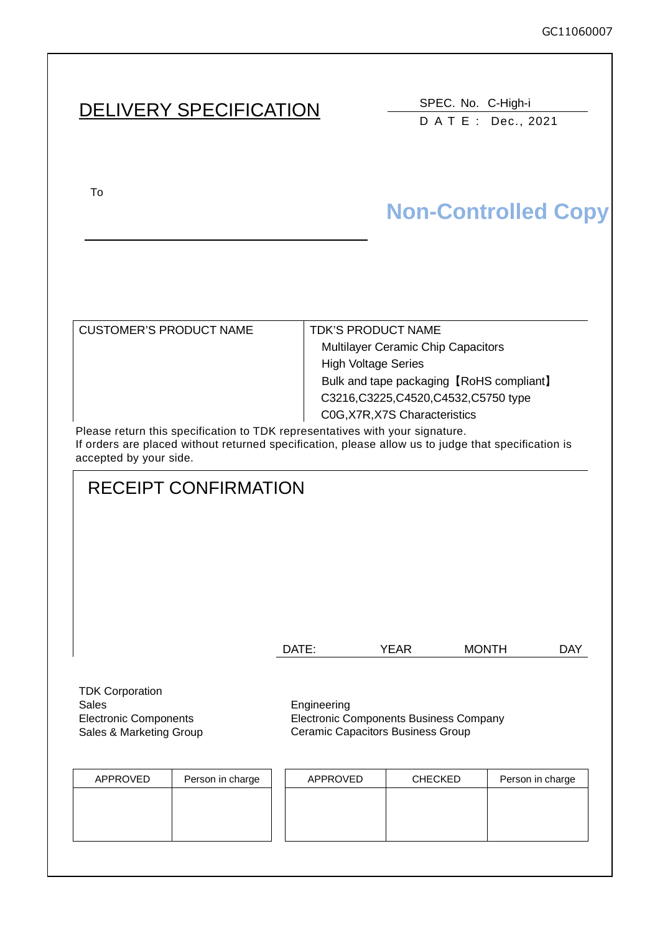# DELIVERY SPECIFICATION SPEC. No. C-High-i

DATE: Dec., 2021

To upon the acceptance of this spec. previous spec. previous spec. previous spec. previous spec. previous spec.

# **Non-Controlled Copy**

| <b>CUSTOMER'S PRODUCT NAME</b>                                                                 | <b>TDK'S PRODUCT NAME</b>                 |
|------------------------------------------------------------------------------------------------|-------------------------------------------|
|                                                                                                | <b>Multilayer Ceramic Chip Capacitors</b> |
|                                                                                                | <b>High Voltage Series</b>                |
|                                                                                                | Bulk and tape packaging [RoHS compliant]  |
|                                                                                                | C3216, C3225, C4520, C4532, C5750 type    |
|                                                                                                | C0G, X7R, X7S Characteristics             |
| This case was also assessed as the set of TIME was assessed to a set the set of a set of a set |                                           |

Please return this specification to TDK representatives with your signature. If orders are placed without returned specification, please allow us to judge that specification is accepted by your side.

## RECEIPT CONFIRMATION

| DATE: | YEAR | <b>MONTH</b> | <b>DAY</b> |
|-------|------|--------------|------------|
|       |      |              |            |

TDK Corporation Sales **Engineering** Electronic Components Sales & Marketing Group

Electronic Components Business Company Ceramic Capacitors Business Group

| APPROVED | Person in charge | APPROVED | <b>CHECKED</b> | Person in charge |
|----------|------------------|----------|----------------|------------------|
|          |                  |          |                |                  |
|          |                  |          |                |                  |
|          |                  |          |                |                  |
|          |                  |          |                |                  |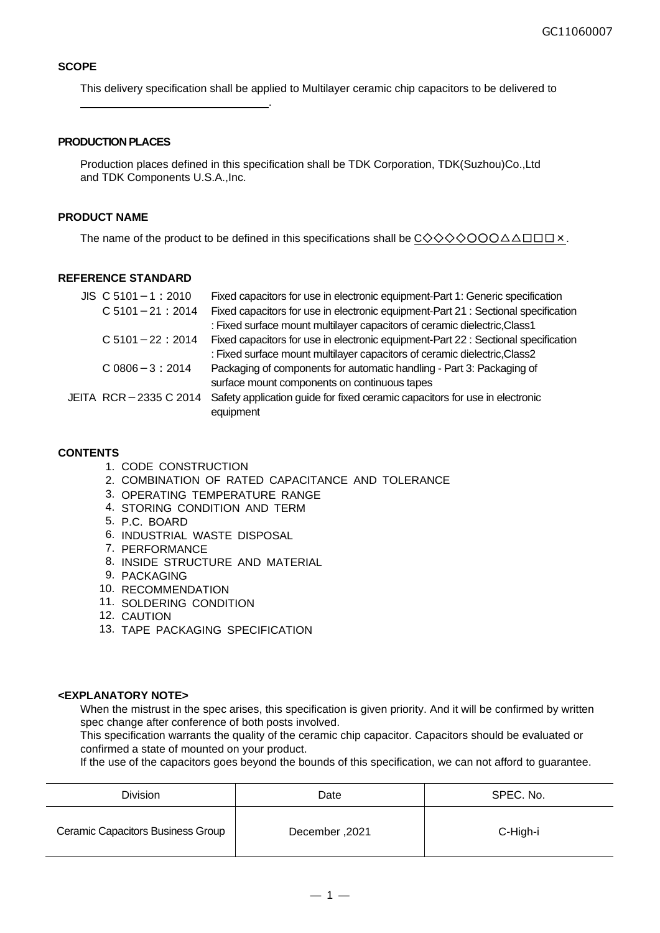#### **SCOPE**

This delivery specification shall be applied to Multilayer ceramic chip capacitors to be delivered to

#### **PRODUCTION PLACES**

.

Production places defined in this specification shall be TDK Corporation, TDK(Suzhou)Co.,Ltd and TDK Components U.S.A.,Inc.

#### **PRODUCT NAME**

The name of the product to be defined in this specifications shall be  $C \diamondsuit \diamondsuit \diamondsuit \diamondsuit \diamondsuit \diamondsuit \triangleset \square \square \times$ .

#### **REFERENCE STANDARD**

| $JIS$ C 5101 - 1 : 2010 |                      | Fixed capacitors for use in electronic equipment-Part 1: Generic specification     |
|-------------------------|----------------------|------------------------------------------------------------------------------------|
|                         | $C$ 5101 - 21 : 2014 | Fixed capacitors for use in electronic equipment-Part 21 : Sectional specification |
|                         |                      | : Fixed surface mount multilayer capacitors of ceramic dielectric, Class1          |
| $C$ 5101 - 22 : 2014    |                      | Fixed capacitors for use in electronic equipment-Part 22 : Sectional specification |
|                         |                      | : Fixed surface mount multilayer capacitors of ceramic dielectric, Class2          |
| $C.0806 - 3:2014$       |                      | Packaging of components for automatic handling - Part 3: Packaging of              |
|                         |                      | surface mount components on continuous tapes                                       |
| JEITA RCR-2335 C 2014   |                      | Safety application guide for fixed ceramic capacitors for use in electronic        |
|                         |                      | equipment                                                                          |

#### **CONTENTS**

- 1. CODE CONSTRUCTION
- 2. COMBINATION OF RATED CAPACITANCE AND TOLERANCE
- 3. OPERATING TEMPERATURE RANGE
- 4. STORING CONDITION AND TERM
- 5. P.C. BOARD
- 6. INDUSTRIAL WASTE DISPOSAL
- 7. PERFORMANCE
- 8. INSIDE STRUCTURE AND MATERIAL
- 9. PACKAGING
- 10. RECOMMENDATION
- 11. SOLDERING CONDITION
- 12. CAUTION
- 13. TAPE PACKAGING SPECIFICATION

#### **<EXPLANATORY NOTE>**

When the mistrust in the spec arises, this specification is given priority. And it will be confirmed by written spec change after conference of both posts involved.

This specification warrants the quality of the ceramic chip capacitor. Capacitors should be evaluated or confirmed a state of mounted on your product.

If the use of the capacitors goes beyond the bounds of this specification, we can not afford to guarantee.

| <b>Division</b>                   | Date           | SPEC. No. |  |
|-----------------------------------|----------------|-----------|--|
| Ceramic Capacitors Business Group | 2021, December | C-High-i  |  |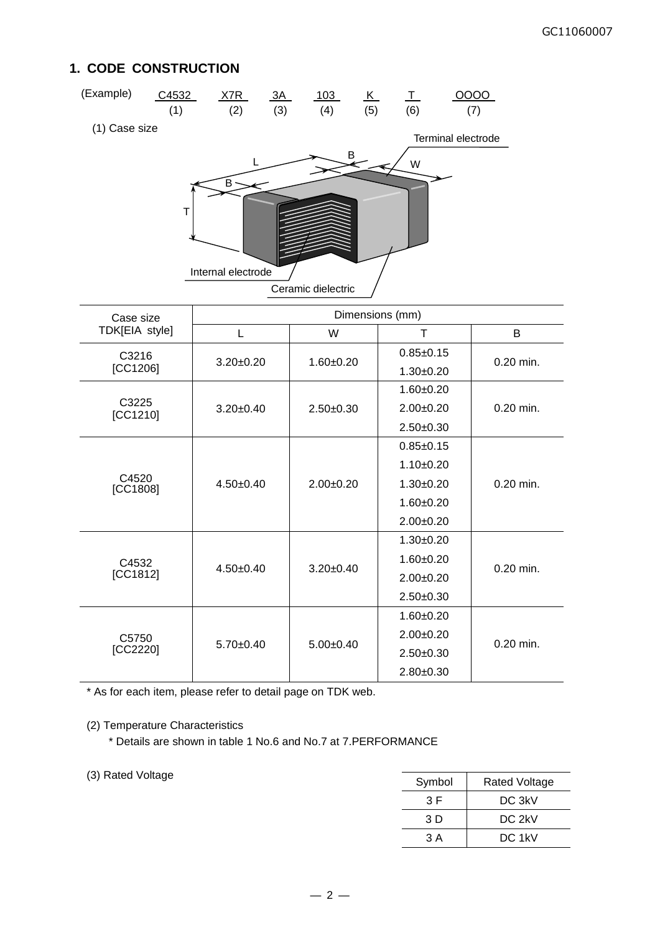## **1. CODE CONSTRUCTION**



| Gase size         |                 |                 |               |             |
|-------------------|-----------------|-----------------|---------------|-------------|
| TDK[EIA style]    | L               | W               | т             | B           |
| C3216             |                 |                 | $0.85 + 0.15$ | $0.20$ min. |
| [CC1206]          | $3.20 \pm 0.20$ | $1.60 + 0.20$   | $1.30 + 0.20$ |             |
|                   |                 |                 | $1.60 + 0.20$ |             |
| C3225<br>[CC1210] | $3.20 \pm 0.40$ | $2.50 + 0.30$   | $2.00+0.20$   | $0.20$ min. |
|                   |                 |                 | $2.50+0.30$   |             |
|                   |                 |                 | $0.85 + 0.15$ |             |
|                   |                 | $2.00+0.20$     | $1.10+0.20$   | $0.20$ min. |
| C4520<br>[CC1808] | $4.50 \pm 0.40$ |                 | $1.30+0.20$   |             |
|                   |                 |                 | $1.60 + 0.20$ |             |
|                   |                 |                 | $2.00+0.20$   |             |
|                   | $4.50+0.40$     | $3.20 \pm 0.40$ | $1.30 + 0.20$ | $0.20$ min. |
| C4532             |                 |                 | $1.60 + 0.20$ |             |
| [CC1812]          |                 |                 | $2.00+0.20$   |             |
|                   |                 |                 | $2.50+0.30$   |             |
| C5750<br>[CC2220] |                 |                 | $1.60 + 0.20$ |             |
|                   |                 | $5.00+0.40$     | $2.00+0.20$   |             |
|                   | $5.70+0.40$     |                 | $2.50+0.30$   | 0.20 min.   |
|                   |                 |                 | $2.80+0.30$   |             |
|                   |                 |                 |               |             |

\* As for each item, please refer to detail page on TDK web.

#### (2) Temperature Characteristics

\* Details are shown in table 1 No.6 and No.7 at 7.PERFORMANCE

(3) Rated Voltage

| Symbol | <b>Rated Voltage</b> |
|--------|----------------------|
| 3 F    | DC 3kV               |
| 3 D    | DC 2kV               |
| 3 A    | DC 1kV               |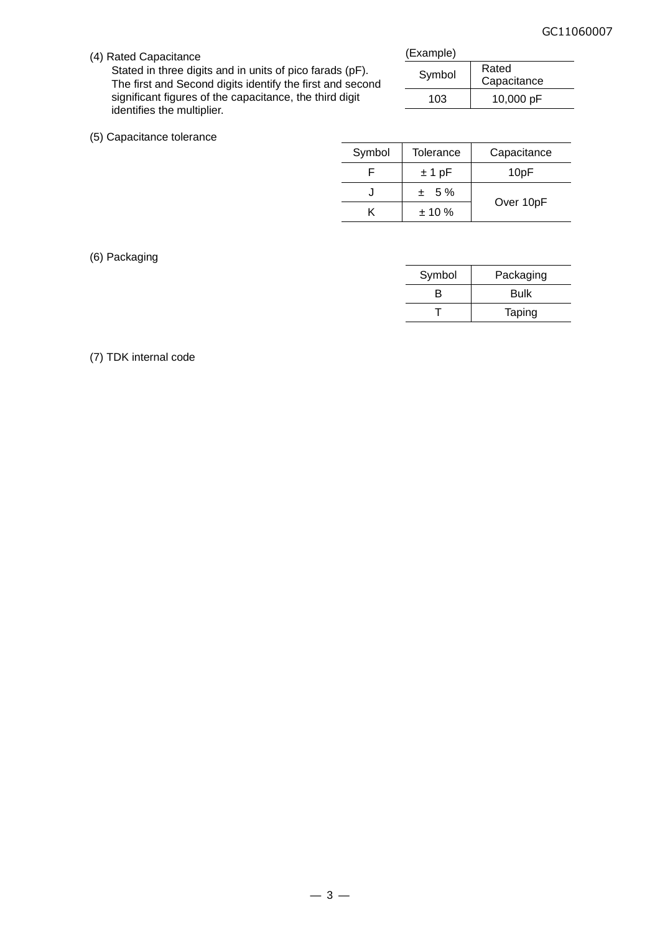(4) Rated Capacitance

Stated in three digits and in units of pico farads (pF). The first and Second digits identify the first and second significant figures of the capacitance, the third digit identifies the multiplier.

| (Example) |                      |
|-----------|----------------------|
| Symbol    | Rated<br>Capacitance |
| 103       | 10,000 pF            |

|  |  |  | (5) Capacitance tolerance |
|--|--|--|---------------------------|
|--|--|--|---------------------------|

| Symbol | Tolerance | Capacitance      |
|--------|-----------|------------------|
|        | $±1$ pF   | 10 <sub>pF</sub> |
|        | $± 5\%$   |                  |
|        | $± 10 \%$ | Over 10pF        |
|        |           |                  |

#### (6) Packaging

| Symbol | Packaging |
|--------|-----------|
| R      | Bulk      |
|        | Taping    |

#### (7) TDK internal code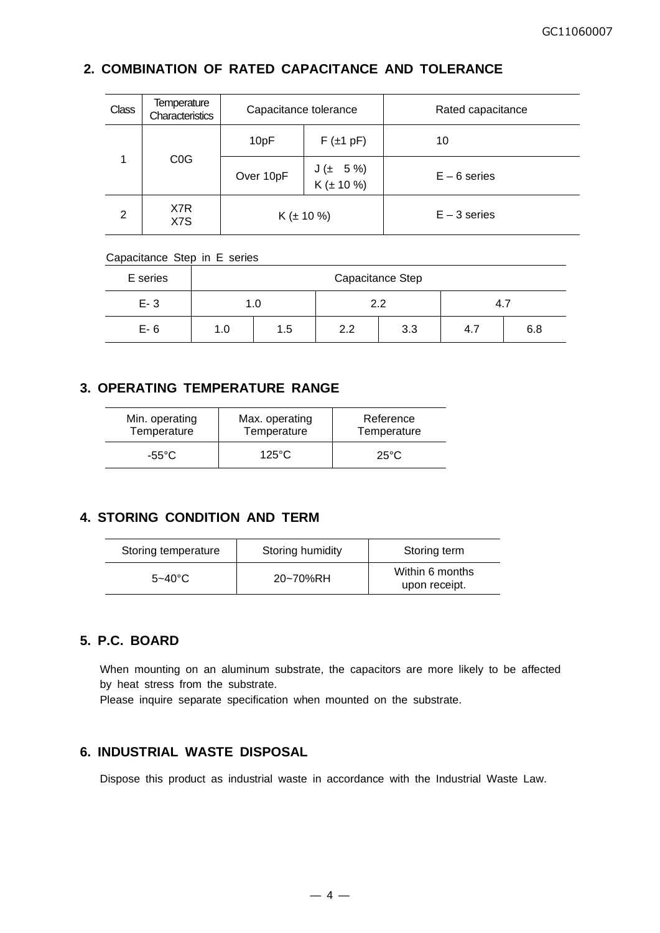## **2. COMBINATION OF RATED CAPACITANCE AND TOLERANCE**

| Class | <b>Temperature</b><br>Characteristics | Capacitance tolerance |                           | Rated capacitance |
|-------|---------------------------------------|-----------------------|---------------------------|-------------------|
|       |                                       | 10pF                  | $F(\pm 1 pF)$             | 10                |
| 1     | C <sub>0</sub> G                      | Over 10pF             | $J$ (± 5 %)<br>K (± 10 %) | $E - 6$ series    |
| 2     | X7R<br>X7S                            | $K (\pm 10 \%)$       |                           | $E - 3$ series    |

#### Capacitance Step in E series

| E series |            | Capacitance Step |     |     |     |     |  |  |  |  |
|----------|------------|------------------|-----|-----|-----|-----|--|--|--|--|
| $E - 3$  |            | 1.0              | 2.2 |     | 4.7 |     |  |  |  |  |
| $E-6$    | 1.5<br>1.0 |                  | 2.2 | 3.3 | 4.7 | 6.8 |  |  |  |  |

### **3. OPERATING TEMPERATURE RANGE**

| Min. operating | Max. operating  | Reference      |
|----------------|-----------------|----------------|
| Temperature    | Temperature     | Temperature    |
| -55°C          | $125^{\circ}$ C | $25^{\circ}$ C |

### **4. STORING CONDITION AND TERM**

| Storing temperature | Storing humidity | Storing term                     |
|---------------------|------------------|----------------------------------|
| $5 - 40^{\circ}$ C  | 20~70%RH         | Within 6 months<br>upon receipt. |

### **5. P.C. BOARD**

When mounting on an aluminum substrate, the capacitors are more likely to be affected by heat stress from the substrate.

Please inquire separate specification when mounted on the substrate.

### **6. INDUSTRIAL WASTE DISPOSAL**

Dispose this product as industrial waste in accordance with the Industrial Waste Law.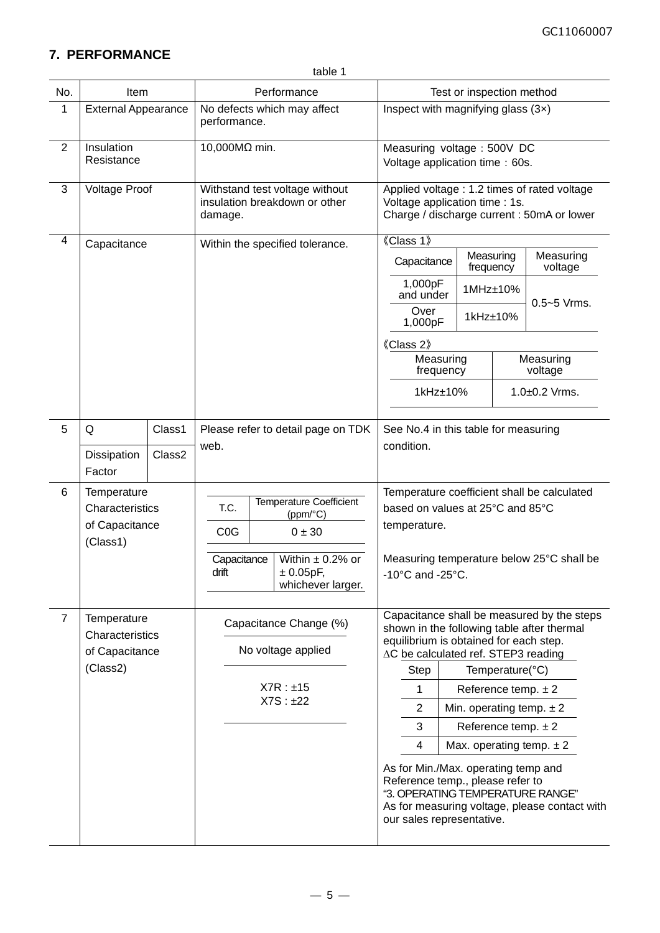## **7. PERFORMANCE**

| No.            | Item                                                         |                  |                                                                                                                                                                    |                                    | Performance                                                                                                                              | Test or inspection method                                                                                                    |                                                              |                                                                                                                                                                           |                                                                                          |                              |  |
|----------------|--------------------------------------------------------------|------------------|--------------------------------------------------------------------------------------------------------------------------------------------------------------------|------------------------------------|------------------------------------------------------------------------------------------------------------------------------------------|------------------------------------------------------------------------------------------------------------------------------|--------------------------------------------------------------|---------------------------------------------------------------------------------------------------------------------------------------------------------------------------|------------------------------------------------------------------------------------------|------------------------------|--|
| 1              | <b>External Appearance</b>                                   |                  | performance.                                                                                                                                                       |                                    | No defects which may affect                                                                                                              |                                                                                                                              | Inspect with magnifying glass $(3x)$                         |                                                                                                                                                                           |                                                                                          |                              |  |
| $\overline{2}$ | Insulation<br>Resistance                                     |                  | 10,000MΩ min.                                                                                                                                                      |                                    |                                                                                                                                          |                                                                                                                              | Measuring voltage: 500V DC<br>Voltage application time: 60s. |                                                                                                                                                                           |                                                                                          |                              |  |
| 3              | <b>Voltage Proof</b>                                         |                  | Withstand test voltage without<br>insulation breakdown or other<br>damage.                                                                                         |                                    |                                                                                                                                          | Applied voltage : 1.2 times of rated voltage<br>Voltage application time : 1s.<br>Charge / discharge current : 50mA or lower |                                                              |                                                                                                                                                                           |                                                                                          |                              |  |
| 4              | Capacitance                                                  |                  |                                                                                                                                                                    |                                    | Within the specified tolerance.                                                                                                          | 《Class 1》                                                                                                                    |                                                              |                                                                                                                                                                           |                                                                                          |                              |  |
|                |                                                              |                  |                                                                                                                                                                    |                                    |                                                                                                                                          | Capacitance                                                                                                                  |                                                              | Measuring<br>frequency                                                                                                                                                    |                                                                                          | Measuring<br>voltage         |  |
|                |                                                              |                  |                                                                                                                                                                    |                                    |                                                                                                                                          | 1,000pF<br>and under                                                                                                         |                                                              | 1MHz±10%                                                                                                                                                                  |                                                                                          | $0.5 - 5$ Vrms.              |  |
|                |                                                              |                  |                                                                                                                                                                    |                                    |                                                                                                                                          | Over<br>1,000pF                                                                                                              |                                                              | 1kHz±10%                                                                                                                                                                  |                                                                                          |                              |  |
|                |                                                              |                  |                                                                                                                                                                    |                                    |                                                                                                                                          | 《Class 2》                                                                                                                    |                                                              |                                                                                                                                                                           |                                                                                          |                              |  |
|                |                                                              |                  |                                                                                                                                                                    |                                    |                                                                                                                                          | frequency                                                                                                                    |                                                              | Measuring                                                                                                                                                                 |                                                                                          | Measuring<br>voltage         |  |
|                |                                                              |                  |                                                                                                                                                                    |                                    |                                                                                                                                          | 1kHz±10%                                                                                                                     |                                                              |                                                                                                                                                                           | $1.0 + 0.2$ Vrms.                                                                        |                              |  |
| 5              | Q<br>Dissipation<br>Factor                                   | Class1<br>Class2 | web.                                                                                                                                                               | Please refer to detail page on TDK |                                                                                                                                          |                                                                                                                              |                                                              | See No.4 in this table for measuring                                                                                                                                      |                                                                                          |                              |  |
| 6              | Temperature<br>Characteristics<br>of Capacitance<br>(Class1) |                  | <b>Temperature Coefficient</b><br>T.C.<br>(ppm/°C)<br>C <sub>0</sub> G<br>0 ± 30<br>Within $\pm$ 0.2% or<br>Capacitance<br>drift<br>± 0.05pF,<br>whichever larger. |                                    | based on values at 25°C and 85°C<br>temperature.<br>-10°C and -25°C.                                                                     |                                                                                                                              |                                                              |                                                                                                                                                                           | Temperature coefficient shall be calculated<br>Measuring temperature below 25°C shall be |                              |  |
| $\overline{7}$ | Temperature<br>Characteristics<br>of Capacitance             |                  |                                                                                                                                                                    |                                    |                                                                                                                                          | Capacitance Change (%)<br>No voltage applied                                                                                 |                                                              | Capacitance shall be measured by the steps<br>shown in the following table after thermal<br>equilibrium is obtained for each step.<br>∆C be calculated ref. STEP3 reading |                                                                                          |                              |  |
|                | (Class2)                                                     |                  |                                                                                                                                                                    |                                    |                                                                                                                                          | Step                                                                                                                         |                                                              |                                                                                                                                                                           | Temperature(°C)                                                                          |                              |  |
|                |                                                              |                  |                                                                                                                                                                    |                                    | $X7R : \pm 15$<br>X7S : ±22                                                                                                              | 1                                                                                                                            |                                                              | Reference temp. $\pm 2$                                                                                                                                                   |                                                                                          |                              |  |
|                |                                                              |                  |                                                                                                                                                                    |                                    |                                                                                                                                          | $\overline{2}$                                                                                                               |                                                              |                                                                                                                                                                           |                                                                                          | Min. operating temp. $\pm 2$ |  |
|                |                                                              |                  |                                                                                                                                                                    |                                    |                                                                                                                                          | 3                                                                                                                            |                                                              | Reference temp. $\pm 2$                                                                                                                                                   |                                                                                          |                              |  |
|                |                                                              |                  |                                                                                                                                                                    |                                    |                                                                                                                                          | 4                                                                                                                            |                                                              |                                                                                                                                                                           |                                                                                          | Max. operating temp. $\pm 2$ |  |
|                |                                                              |                  |                                                                                                                                                                    |                                    | As for Min./Max. operating temp and<br>Reference temp., please refer to<br>"3. OPERATING TEMPERATURE RANGE"<br>our sales representative. |                                                                                                                              |                                                              |                                                                                                                                                                           | As for measuring voltage, please contact with                                            |                              |  |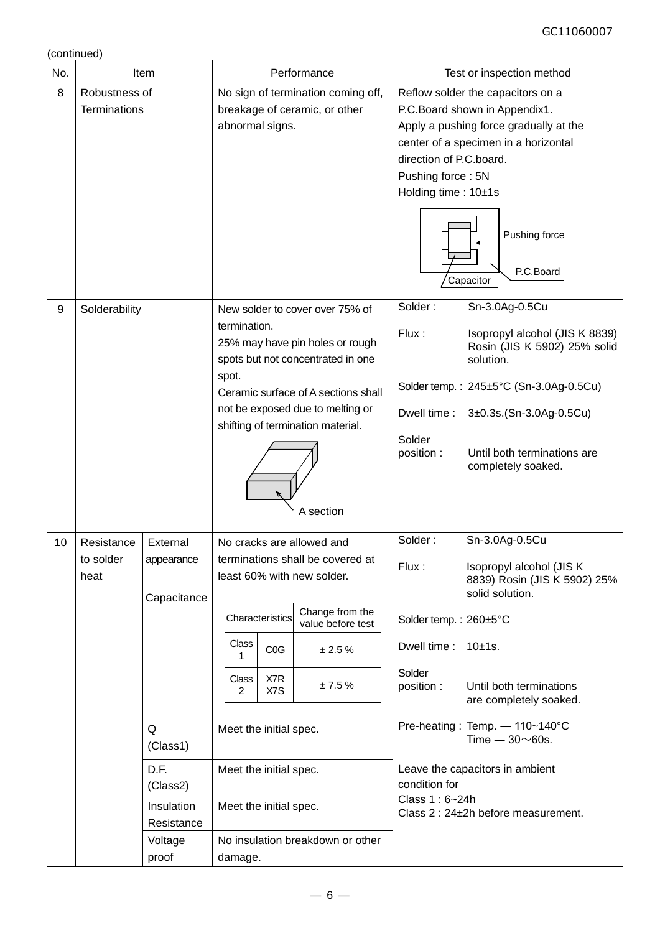(continued)

| No.              |                                                                                                                                                                   | Item                                                                                                                       |                                                                                                                                                                                                                            |                                                                                | Performance                                                                                                                                                                                                       | Test or inspection method                                                                                                                                                                                           |                                                                                                                                                                                                                                                                                                |  |  |
|------------------|-------------------------------------------------------------------------------------------------------------------------------------------------------------------|----------------------------------------------------------------------------------------------------------------------------|----------------------------------------------------------------------------------------------------------------------------------------------------------------------------------------------------------------------------|--------------------------------------------------------------------------------|-------------------------------------------------------------------------------------------------------------------------------------------------------------------------------------------------------------------|---------------------------------------------------------------------------------------------------------------------------------------------------------------------------------------------------------------------|------------------------------------------------------------------------------------------------------------------------------------------------------------------------------------------------------------------------------------------------------------------------------------------------|--|--|
| 8                | Robustness of<br>No sign of termination coming off,<br>breakage of ceramic, or other<br><b>Terminations</b><br>abnormal signs.<br>New solder to cover over 75% of |                                                                                                                            |                                                                                                                                                                                                                            | direction of P.C.board.<br>Pushing force: 5N<br>Holding time: 10±1s<br>Solder: | Reflow solder the capacitors on a<br>P.C.Board shown in Appendix1.<br>Apply a pushing force gradually at the<br>center of a specimen in a horizontal<br>Pushing force<br>P.C.Board<br>Capacitor<br>Sn-3.0Ag-0.5Cu |                                                                                                                                                                                                                     |                                                                                                                                                                                                                                                                                                |  |  |
| $\boldsymbol{9}$ | Solderability                                                                                                                                                     |                                                                                                                            | termination.<br>25% may have pin holes or rough<br>spots but not concentrated in one<br>spot.<br>Ceramic surface of A sections shall<br>not be exposed due to melting or<br>shifting of termination material.<br>A section |                                                                                | Flux:<br>Dwell time:<br>Solder<br>position:                                                                                                                                                                       | Isopropyl alcohol (JIS K 8839)<br>Rosin (JIS K 5902) 25% solid<br>solution.<br>Solder temp.: $245 \pm 5^{\circ}$ C (Sn-3.0Ag-0.5Cu)<br>3±0.3s.(Sn-3.0Ag-0.5Cu)<br>Until both terminations are<br>completely soaked. |                                                                                                                                                                                                                                                                                                |  |  |
| 10               | Resistance<br>to solder<br>heat                                                                                                                                   | External<br>appearance<br>Capacitance<br>Q<br>(Class1)<br>D.F.<br>(Class2)<br>Insulation<br>Resistance<br>Voltage<br>proof | Class<br>1<br>Class<br>2<br>Meet the initial spec.<br>Meet the initial spec.<br>Meet the initial spec.<br>damage.                                                                                                          | Characteristics<br>COG<br>X7R<br>X7S                                           | No cracks are allowed and<br>terminations shall be covered at<br>least 60% with new solder.<br>Change from the<br>value before test<br>± 2.5%<br>± 7.5%<br>No insulation breakdown or other                       | Solder:<br>Flux:<br>Solder temp.: 260±5°C<br>Dwell time:<br>Solder<br>position :<br>condition for<br>Class 1:6~24h                                                                                                  | Sn-3.0Ag-0.5Cu<br>Isopropyl alcohol (JIS K<br>8839) Rosin (JIS K 5902) 25%<br>solid solution.<br>10±1s.<br>Until both terminations<br>are completely soaked.<br>Pre-heating: Temp. - 110~140°C<br>Time $-30\nu$ 60s.<br>Leave the capacitors in ambient<br>Class 2 : 24±2h before measurement. |  |  |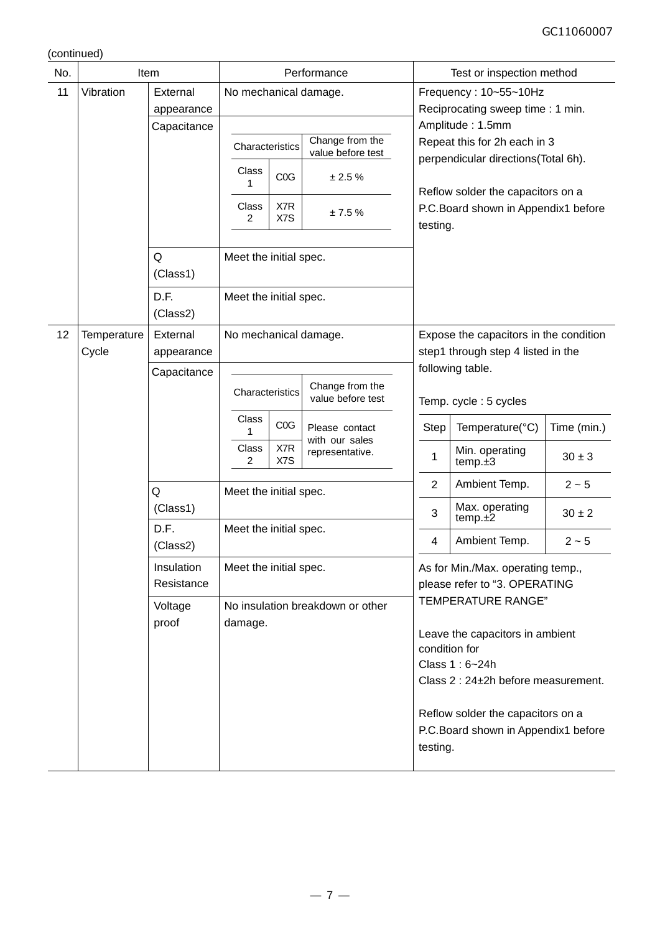(continued)

|     |             | <b>Item</b>              | Performance                                                   |                                                                                                          |  |  |  |
|-----|-------------|--------------------------|---------------------------------------------------------------|----------------------------------------------------------------------------------------------------------|--|--|--|
| No. |             |                          |                                                               | Test or inspection method                                                                                |  |  |  |
| 11  | Vibration   | External                 | No mechanical damage.                                         | Frequency: 10~55~10Hz                                                                                    |  |  |  |
|     |             | appearance               |                                                               | Reciprocating sweep time: 1 min.                                                                         |  |  |  |
|     |             | Capacitance              | Change from the                                               | Amplitude: 1.5mm<br>Repeat this for 2h each in 3                                                         |  |  |  |
|     |             |                          | Characteristics<br>value before test                          | perpendicular directions(Total 6h).                                                                      |  |  |  |
|     |             |                          | Class<br>C <sub>0</sub> G<br>± 2.5%                           |                                                                                                          |  |  |  |
|     |             |                          | 1                                                             | Reflow solder the capacitors on a                                                                        |  |  |  |
|     |             |                          | X7R<br>Class<br>± 7.5%                                        | P.C.Board shown in Appendix1 before                                                                      |  |  |  |
|     |             |                          | X7S<br>2                                                      | testing.                                                                                                 |  |  |  |
|     |             |                          |                                                               |                                                                                                          |  |  |  |
|     |             | Q                        | Meet the initial spec.                                        |                                                                                                          |  |  |  |
|     |             | (Class1)                 |                                                               |                                                                                                          |  |  |  |
|     |             | D.F.                     | Meet the initial spec.                                        |                                                                                                          |  |  |  |
|     |             | (Class2)                 |                                                               |                                                                                                          |  |  |  |
| 12  | Temperature | External                 | No mechanical damage.                                         | Expose the capacitors in the condition                                                                   |  |  |  |
|     | Cycle       | appearance               |                                                               | step1 through step 4 listed in the                                                                       |  |  |  |
|     |             | Capacitance              |                                                               | following table.                                                                                         |  |  |  |
|     |             |                          | Change from the<br>Characteristics<br>value before test       | Temp. cycle: 5 cycles                                                                                    |  |  |  |
|     |             |                          | Class<br>COG<br>Please contact<br>1                           | Time (min.)<br><b>Step</b><br>Temperature(°C)                                                            |  |  |  |
|     |             |                          | with our sales<br>X7R<br>Class<br>representative.<br>X7S<br>2 | Min. operating<br>1<br>$30 \pm 3$<br>temp.±3                                                             |  |  |  |
|     |             | Q                        | Meet the initial spec.                                        | $\overline{2}$<br>Ambient Temp.<br>$2 - 5$                                                               |  |  |  |
|     |             | (Class1)                 |                                                               | Max. operating<br>3<br>$30\pm2$<br>temp.±2                                                               |  |  |  |
|     |             | D.F.<br>(Class2)         | Meet the initial spec.                                        | Ambient Temp.<br>$2 - 5$<br>4                                                                            |  |  |  |
|     |             | Insulation<br>Resistance | Meet the initial spec.                                        | As for Min./Max. operating temp.,<br>please refer to "3. OPERATING<br><b>TEMPERATURE RANGE"</b>          |  |  |  |
|     |             | Voltage<br>proof         | No insulation breakdown or other<br>damage.                   | Leave the capacitors in ambient<br>condition for<br>Class 1:6~24h<br>Class 2 : 24±2h before measurement. |  |  |  |
|     |             |                          |                                                               | Reflow solder the capacitors on a<br>P.C.Board shown in Appendix1 before<br>testing.                     |  |  |  |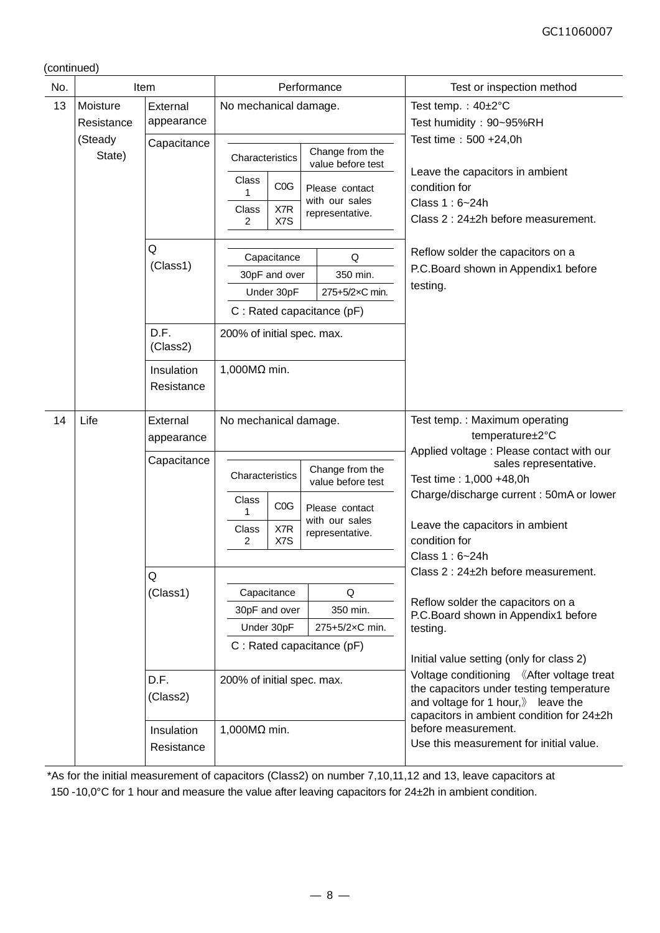(continued)

| No. |                        | Item                     |                                                      | Performance                                         | Test or inspection method                                                                                                                                                             |  |  |
|-----|------------------------|--------------------------|------------------------------------------------------|-----------------------------------------------------|---------------------------------------------------------------------------------------------------------------------------------------------------------------------------------------|--|--|
| 13  | Moisture<br>Resistance | External<br>appearance   | No mechanical damage.                                |                                                     | Test temp.: $40\pm2^{\circ}C$<br>Test humidity: 90~95%RH                                                                                                                              |  |  |
|     | (Steady<br>State)      | Capacitance              | Characteristics                                      | Change from the<br>value before test                | Test time: 500 +24,0h<br>Leave the capacitors in ambient                                                                                                                              |  |  |
|     |                        |                          | Class<br>COG<br>1<br>X7R<br><b>Class</b><br>X7S<br>2 | Please contact<br>with our sales<br>representative. | condition for<br>Class 1: 6~24h<br>Class 2 : 24±2h before measurement.                                                                                                                |  |  |
|     |                        |                          |                                                      |                                                     |                                                                                                                                                                                       |  |  |
|     |                        | Q                        | Capacitance                                          | Q                                                   | Reflow solder the capacitors on a                                                                                                                                                     |  |  |
|     |                        | (Class1)                 | 30pF and over                                        | 350 min.                                            | P.C.Board shown in Appendix1 before                                                                                                                                                   |  |  |
|     |                        |                          | Under 30pF                                           | 275+5/2xC min.                                      | testing.                                                                                                                                                                              |  |  |
|     |                        |                          | C: Rated capacitance (pF)                            |                                                     |                                                                                                                                                                                       |  |  |
|     |                        | D.F.<br>(Class2)         | 200% of initial spec. max.                           |                                                     |                                                                                                                                                                                       |  |  |
|     |                        | Insulation<br>Resistance | 1,000 $M\Omega$ min.                                 |                                                     |                                                                                                                                                                                       |  |  |
| 14  | Life                   | External<br>appearance   | No mechanical damage.                                |                                                     | Test temp.: Maximum operating<br>temperature±2°C                                                                                                                                      |  |  |
|     |                        | Capacitance              | Characteristics                                      | Change from the<br>value before test                | Applied voltage : Please contact with our<br>sales representative.<br>Test time: 1,000 +48,0h                                                                                         |  |  |
|     |                        |                          | Class<br>C <sub>0</sub> G                            | Please contact<br>with our sales                    | Charge/discharge current: 50mA or lower                                                                                                                                               |  |  |
|     |                        |                          | Class<br>X7R<br>X7S<br>2                             | representative.                                     | Leave the capacitors in ambient<br>condition for                                                                                                                                      |  |  |
|     |                        |                          |                                                      |                                                     | Class 1:6~24h                                                                                                                                                                         |  |  |
|     |                        | Q                        |                                                      |                                                     | Class 2 : 24±2h before measurement.                                                                                                                                                   |  |  |
|     |                        | (Class1)                 | Capacitance                                          | Q                                                   |                                                                                                                                                                                       |  |  |
|     |                        |                          | 30pF and over                                        | 350 min.                                            | Reflow solder the capacitors on a<br>P.C.Board shown in Appendix1 before                                                                                                              |  |  |
|     |                        |                          | Under 30pF                                           | 275+5/2×C min.                                      | testing.                                                                                                                                                                              |  |  |
|     |                        |                          | C : Rated capacitance (pF)                           |                                                     | Initial value setting (only for class 2)                                                                                                                                              |  |  |
|     |                        | D.F.<br>(Class2)         | 200% of initial spec. max.                           |                                                     | Voltage conditioning 《After voltage treat<br>the capacitors under testing temperature<br>and voltage for 1 hour, $\mathcal{Y}$ leave the<br>capacitors in ambient condition for 24±2h |  |  |
|     |                        | Insulation<br>Resistance | 1,000MΩ min.                                         |                                                     | before measurement.<br>Use this measurement for initial value.                                                                                                                        |  |  |

\*As for the initial measurement of capacitors (Class2) on number 7,10,11,12 and 13, leave capacitors at 150 -10,0°C for 1 hour and measure the value after leaving capacitors for 24±2h in ambient condition.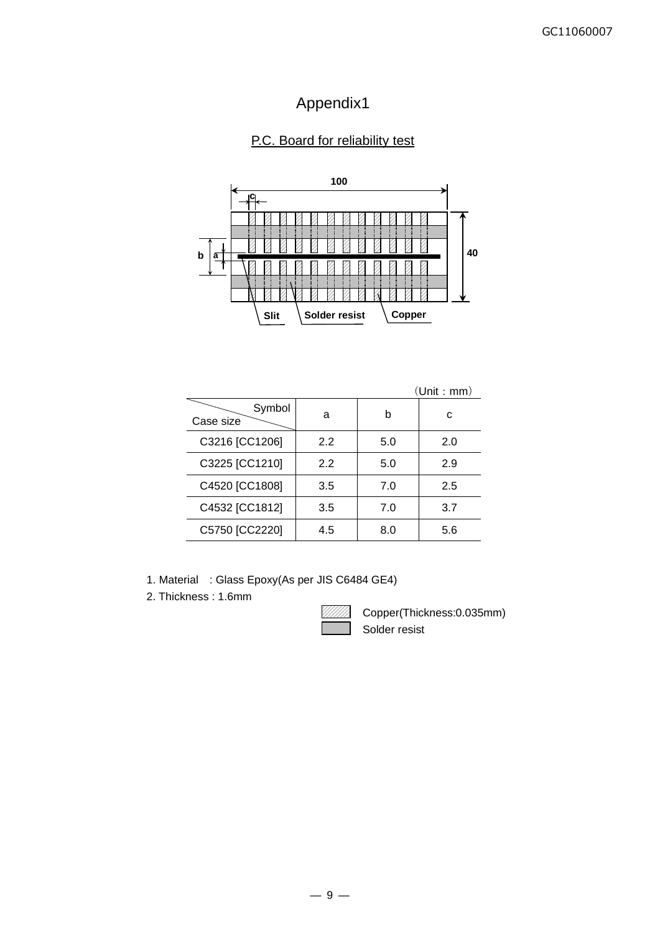## Appendix1

## P.C. Board for reliability test



|                     |     |     | (Unit : mm) |
|---------------------|-----|-----|-------------|
| Symbol<br>Case size | a   | b   | с           |
| C3216 [CC1206]      | 2.2 | 5.0 | 2.0         |
| C3225 [CC1210]      | 2.2 | 5.0 | 2.9         |
| C4520 [CC1808]      | 3.5 | 7.0 | 2.5         |
| C4532 [CC1812]      | 3.5 | 7.0 | 3.7         |
| C5750 [CC2220]      | 4.5 | 8.0 | 5.6         |

1. Material : Glass Epoxy(As per JIS C6484 GE4)

2. Thickness : 1.6mm



Copper(Thickness:0.035mm) Solder resist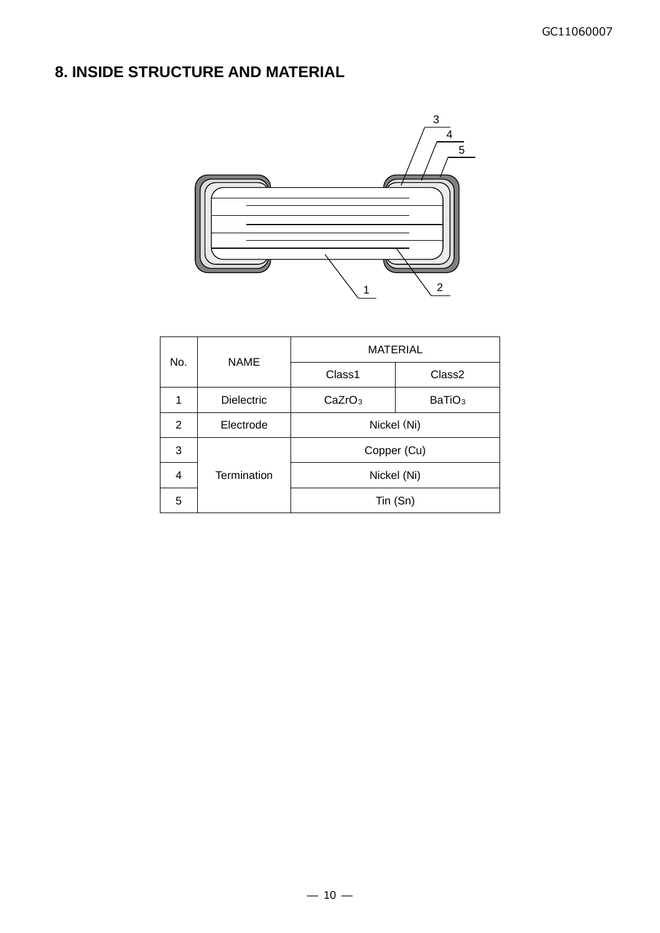## **8. INSIDE STRUCTURE AND MATERIAL**



|     | <b>NAME</b>       | <b>MATERIAL</b>                          |                    |  |  |  |
|-----|-------------------|------------------------------------------|--------------------|--|--|--|
| No. |                   | Class1                                   | Class <sub>2</sub> |  |  |  |
| 1   | <b>Dielectric</b> | CaZrO <sub>3</sub><br>BaTiO <sub>3</sub> |                    |  |  |  |
| 2   | Electrode         | Nickel (Ni)                              |                    |  |  |  |
| 3   |                   | Copper (Cu)                              |                    |  |  |  |
| 4   | Termination       | Nickel (Ni)                              |                    |  |  |  |
| 5   |                   | Tin (Sn)                                 |                    |  |  |  |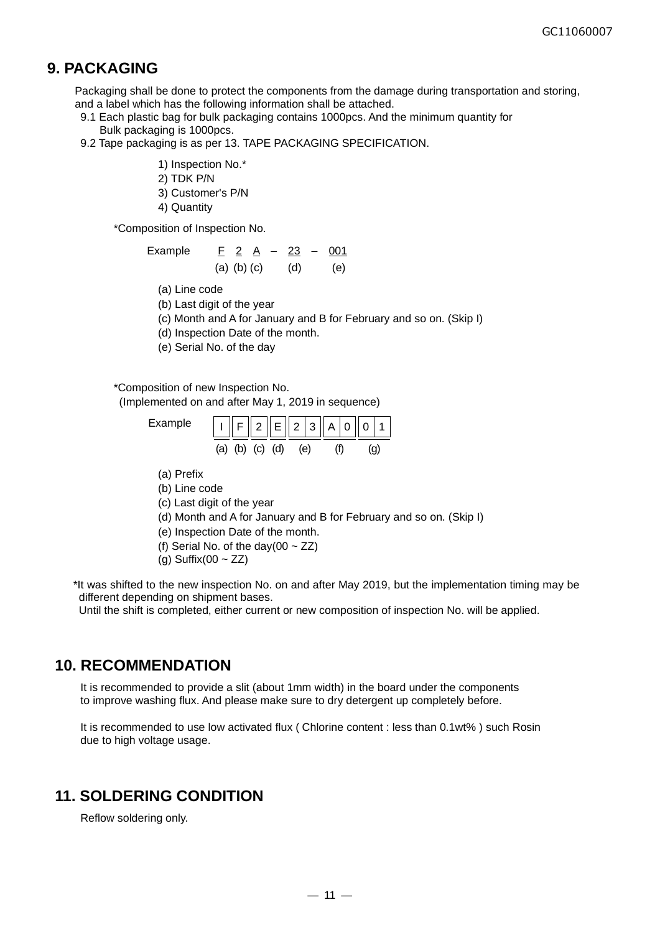## **9. PACKAGING**

Packaging shall be done to protect the components from the damage during transportation and storing, and a label which has the following information shall be attached.

- 9.1 Each plastic bag for bulk packaging contains 1000pcs. And the minimum quantity for Bulk packaging is 1000pcs.
- 9.2 Tape packaging is as per 13. TAPE PACKAGING SPECIFICATION.
	- 1) Inspection No.\*
	- 2) TDK P/N
	- 3) Customer's P/N
	- 4) Quantity

\*Composition of Inspection No.

| Example | F 2 A |                   | $\sim$ |     | $23 - 001$ |
|---------|-------|-------------------|--------|-----|------------|
|         |       | $(a)$ $(b)$ $(c)$ |        | (d) | (e)        |

- (a) Line code
- (b) Last digit of the year

(c) Month and A for January and B for February and so on. (Skip I)

(d) Inspection Date of the month.

(e) Serial No. of the day

#### \*Composition of new Inspection No.

(Implemented on and after May 1, 2019 in sequence)

| Example | F  2  E  2 3  A 0  0 1 |  |     |  |  |
|---------|------------------------|--|-----|--|--|
|         | (a) (b) (c) (d)        |  | (e) |  |  |

- (a) Prefix
- (b) Line code
- (c) Last digit of the year
- (d) Month and A for January and B for February and so on. (Skip I)
- (e) Inspection Date of the month.
- (f) Serial No. of the day(00  $\sim$  ZZ)
- (g) Suffix(00  $\sim$  ZZ)

\*It was shifted to the new inspection No. on and after May 2019, but the implementation timing may be different depending on shipment bases.

Until the shift is completed, either current or new composition of inspection No. will be applied.

## **10. RECOMMENDATION**

It is recommended to provide a slit (about 1mm width) in the board under the components to improve washing flux. And please make sure to dry detergent up completely before.

It is recommended to use low activated flux ( Chlorine content : less than 0.1wt% ) such Rosin due to high voltage usage.

#### **11. SOLDERING CONDITION**

Reflow soldering only.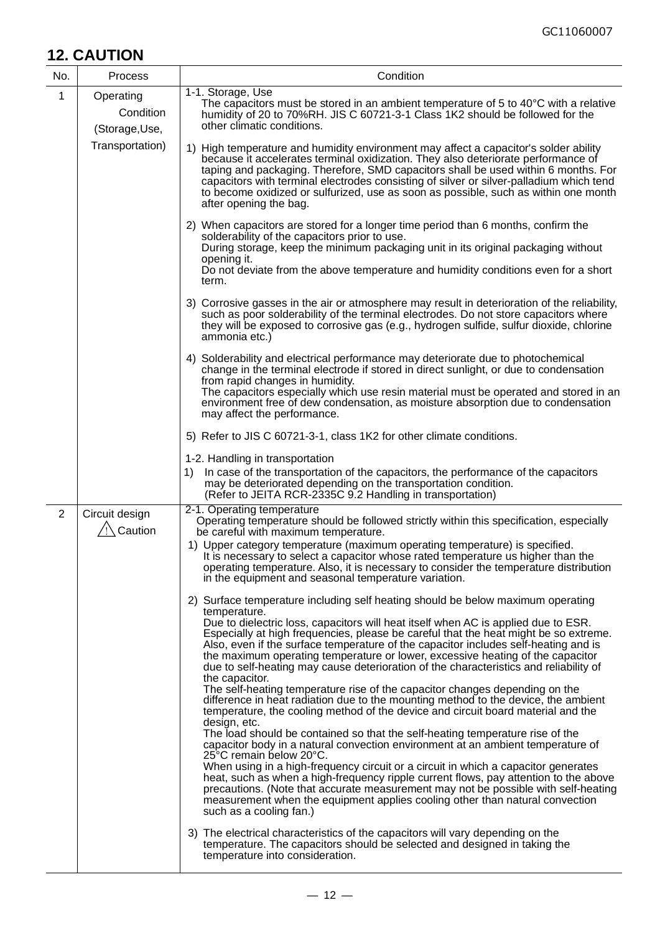## **12. CAUTION**

| No. | Process                                   | Condition                                                                                                                                                                                                                                                                                                                                                                                                                                                                                                                                                                                                                                                                                                                                                                                                                                                                                                                                                                                                                                                                                                                                                                                                                                                                                                                                                                                                                                                                                                                                                                               |
|-----|-------------------------------------------|-----------------------------------------------------------------------------------------------------------------------------------------------------------------------------------------------------------------------------------------------------------------------------------------------------------------------------------------------------------------------------------------------------------------------------------------------------------------------------------------------------------------------------------------------------------------------------------------------------------------------------------------------------------------------------------------------------------------------------------------------------------------------------------------------------------------------------------------------------------------------------------------------------------------------------------------------------------------------------------------------------------------------------------------------------------------------------------------------------------------------------------------------------------------------------------------------------------------------------------------------------------------------------------------------------------------------------------------------------------------------------------------------------------------------------------------------------------------------------------------------------------------------------------------------------------------------------------------|
| 1   | Operating<br>Condition<br>(Storage, Use,  | 1-1. Storage, Use<br>The capacitors must be stored in an ambient temperature of 5 to 40°C with a relative<br>humidity of 20 to 70%RH. JIS C 60721-3-1 Class 1K2 should be followed for the<br>other climatic conditions.                                                                                                                                                                                                                                                                                                                                                                                                                                                                                                                                                                                                                                                                                                                                                                                                                                                                                                                                                                                                                                                                                                                                                                                                                                                                                                                                                                |
|     | Transportation)                           | 1) High temperature and humidity environment may affect a capacitor's solder ability<br>because it accelerates terminal oxidization. They also deteriorate performance of<br>taping and packaging. Therefore, SMD capacitors shall be used within 6 months. For<br>capacitors with terminal electrodes consisting of silver or silver-palladium which tend<br>to become oxidized or sulfurized, use as soon as possible, such as within one month<br>after opening the bag.                                                                                                                                                                                                                                                                                                                                                                                                                                                                                                                                                                                                                                                                                                                                                                                                                                                                                                                                                                                                                                                                                                             |
|     |                                           | 2) When capacitors are stored for a longer time period than 6 months, confirm the<br>solderability of the capacitors prior to use.<br>During storage, keep the minimum packaging unit in its original packaging without<br>opening it.<br>Do not deviate from the above temperature and humidity conditions even for a short<br>term.                                                                                                                                                                                                                                                                                                                                                                                                                                                                                                                                                                                                                                                                                                                                                                                                                                                                                                                                                                                                                                                                                                                                                                                                                                                   |
|     |                                           | 3) Corrosive gasses in the air or atmosphere may result in deterioration of the reliability,<br>such as poor solderability of the terminal electrodes. Do not store capacitors where<br>they will be exposed to corrosive gas (e.g., hydrogen sulfide, sulfur dioxide, chlorine<br>ammonia etc.)                                                                                                                                                                                                                                                                                                                                                                                                                                                                                                                                                                                                                                                                                                                                                                                                                                                                                                                                                                                                                                                                                                                                                                                                                                                                                        |
|     |                                           | 4) Solderability and electrical performance may deteriorate due to photochemical<br>change in the terminal electrode if stored in direct sunlight, or due to condensation<br>from rapid changes in humidity.<br>The capacitors especially which use resin material must be operated and stored in an<br>environment free of dew condensation, as moisture absorption due to condensation<br>may affect the performance.                                                                                                                                                                                                                                                                                                                                                                                                                                                                                                                                                                                                                                                                                                                                                                                                                                                                                                                                                                                                                                                                                                                                                                 |
|     |                                           | 5) Refer to JIS C 60721-3-1, class 1K2 for other climate conditions.                                                                                                                                                                                                                                                                                                                                                                                                                                                                                                                                                                                                                                                                                                                                                                                                                                                                                                                                                                                                                                                                                                                                                                                                                                                                                                                                                                                                                                                                                                                    |
|     |                                           | 1-2. Handling in transportation<br>1)<br>In case of the transportation of the capacitors, the performance of the capacitors<br>may be deteriorated depending on the transportation condition.<br>(Refer to JEITA RCR-2335C 9.2 Handling in transportation)                                                                                                                                                                                                                                                                                                                                                                                                                                                                                                                                                                                                                                                                                                                                                                                                                                                                                                                                                                                                                                                                                                                                                                                                                                                                                                                              |
| 2   | Circuit design<br><sup>∕</sup> !∖ Caution | 2-1. Operating temperature<br>Operating temperature should be followed strictly within this specification, especially<br>be careful with maximum temperature.<br>1) Upper category temperature (maximum operating temperature) is specified.<br>It is necessary to select a capacitor whose rated temperature us higher than the<br>operating temperature. Also, it is necessary to consider the temperature distribution<br>in the equipment and seasonal temperature variation.                                                                                                                                                                                                                                                                                                                                                                                                                                                                                                                                                                                                                                                                                                                                                                                                                                                                                                                                                                                                                                                                                                       |
|     |                                           | 2) Surface temperature including self heating should be below maximum operating<br>temperature.<br>Due to dielectric loss, capacitors will heat itself when AC is applied due to ESR.<br>Especially at high frequencies, please be careful that the heat might be so extreme.<br>Also, even if the surface temperature of the capacitor includes self-heating and is<br>the maximum operating temperature or lower, excessive heating of the capacitor<br>due to self-heating may cause deterioration of the characteristics and reliability of<br>the capacitor.<br>The self-heating temperature rise of the capacitor changes depending on the<br>difference in heat radiation due to the mounting method to the device, the ambient<br>temperature, the cooling method of the device and circuit board material and the<br>design, etc.<br>The load should be contained so that the self-heating temperature rise of the<br>capacitor body in a natural convection environment at an ambient temperature of<br>25°C remain below 20°C.<br>When using in a high-frequency circuit or a circuit in which a capacitor generates<br>heat, such as when a high-frequency ripple current flows, pay attention to the above<br>precautions. (Note that accurate measurement may not be possible with self-heating<br>measurement when the equipment applies cooling other than natural convection<br>such as a cooling fan.)<br>3) The electrical characteristics of the capacitors will vary depending on the<br>temperature. The capacitors should be selected and designed in taking the |
|     |                                           | temperature into consideration.                                                                                                                                                                                                                                                                                                                                                                                                                                                                                                                                                                                                                                                                                                                                                                                                                                                                                                                                                                                                                                                                                                                                                                                                                                                                                                                                                                                                                                                                                                                                                         |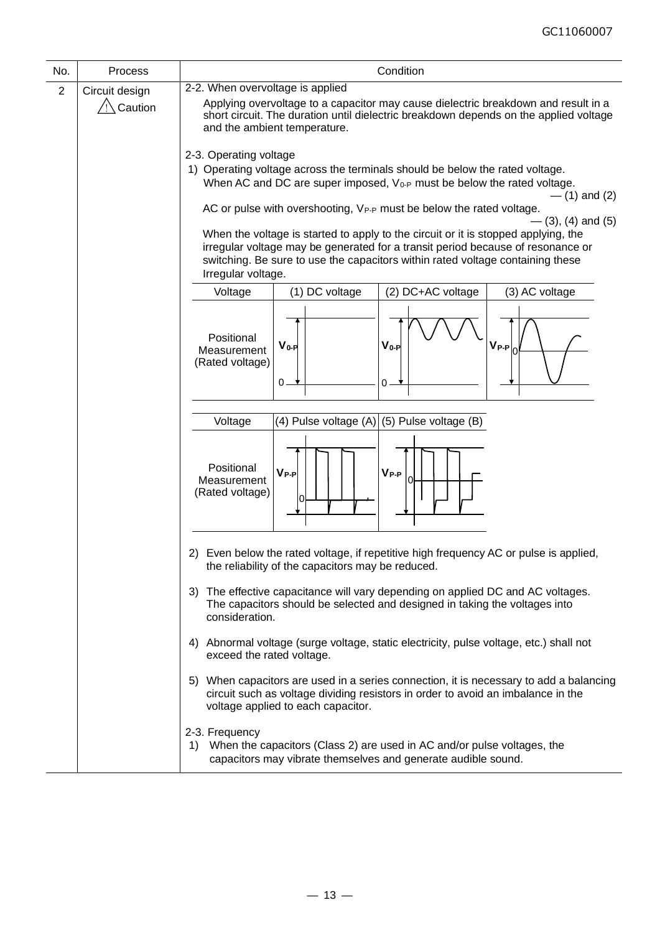| No.            | Process        | Condition                                                                                                                                                                                                                                                                     |  |  |  |  |
|----------------|----------------|-------------------------------------------------------------------------------------------------------------------------------------------------------------------------------------------------------------------------------------------------------------------------------|--|--|--|--|
| $\overline{2}$ | Circuit design | 2-2. When overvoltage is applied<br>Applying overvoltage to a capacitor may cause dielectric breakdown and result in a<br>short circuit. The duration until dielectric breakdown depends on the applied voltage<br>and the ambient temperature.                               |  |  |  |  |
|                | /!∖Caution     |                                                                                                                                                                                                                                                                               |  |  |  |  |
|                |                | 2-3. Operating voltage                                                                                                                                                                                                                                                        |  |  |  |  |
|                |                | 1) Operating voltage across the terminals should be below the rated voltage.                                                                                                                                                                                                  |  |  |  |  |
|                |                | When AC and DC are super imposed, V <sub>0-P</sub> must be below the rated voltage.                                                                                                                                                                                           |  |  |  |  |
|                |                | $-$ (1) and (2)<br>AC or pulse with overshooting, VP-P must be below the rated voltage.<br>$-$ (3), (4) and (5)                                                                                                                                                               |  |  |  |  |
|                |                | When the voltage is started to apply to the circuit or it is stopped applying, the<br>irregular voltage may be generated for a transit period because of resonance or<br>switching. Be sure to use the capacitors within rated voltage containing these<br>Irregular voltage. |  |  |  |  |
|                |                | (1) DC voltage<br>(2) DC+AC voltage<br>(3) AC voltage<br>Voltage                                                                                                                                                                                                              |  |  |  |  |
|                |                | Positional<br>$V_{0-P}$<br>$V_{P-P}$<br>$V_{0-P}$<br>Measurement<br>(Rated voltage)<br>$\mathbf 0$ .<br>0                                                                                                                                                                     |  |  |  |  |
|                |                | (4) Pulse voltage $(A)$ (5) Pulse voltage (B)<br>Voltage                                                                                                                                                                                                                      |  |  |  |  |
|                |                |                                                                                                                                                                                                                                                                               |  |  |  |  |
|                |                | Positional<br>$V_{P-P}$<br>$V_{P-P}$<br>Measurement<br>(Rated voltage)                                                                                                                                                                                                        |  |  |  |  |
|                |                | 2) Even below the rated voltage, if repetitive high frequency AC or pulse is applied,<br>the reliability of the capacitors may be reduced.                                                                                                                                    |  |  |  |  |
|                |                | 3) The effective capacitance will vary depending on applied DC and AC voltages.<br>The capacitors should be selected and designed in taking the voltages into<br>consideration.                                                                                               |  |  |  |  |
|                |                | 4) Abnormal voltage (surge voltage, static electricity, pulse voltage, etc.) shall not<br>exceed the rated voltage.                                                                                                                                                           |  |  |  |  |
|                |                | 5) When capacitors are used in a series connection, it is necessary to add a balancing<br>circuit such as voltage dividing resistors in order to avoid an imbalance in the<br>voltage applied to each capacitor.                                                              |  |  |  |  |
|                |                | 2-3. Frequency<br>When the capacitors (Class 2) are used in AC and/or pulse voltages, the<br>1)<br>capacitors may vibrate themselves and generate audible sound.                                                                                                              |  |  |  |  |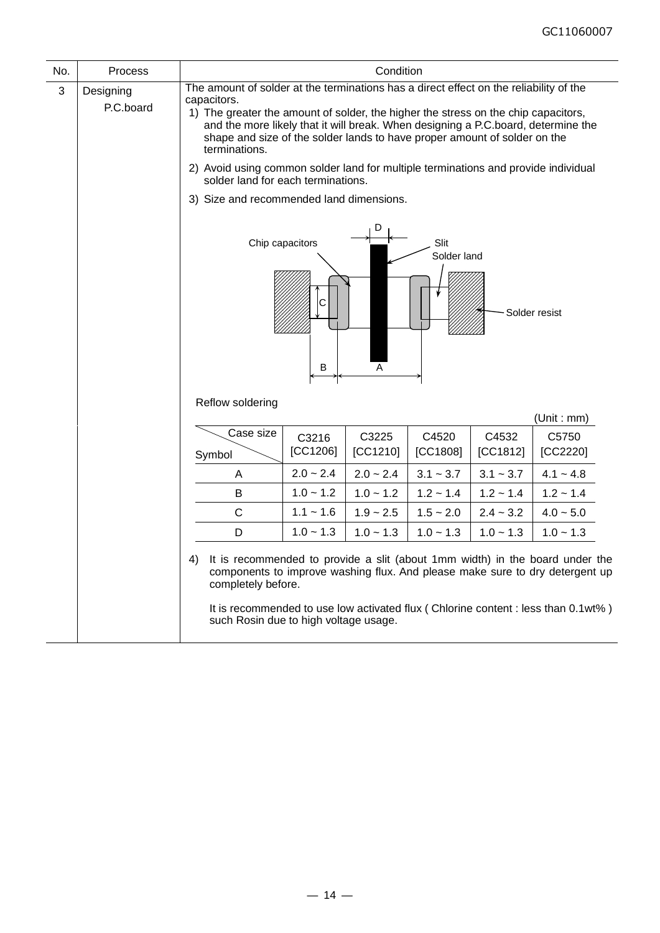| No. | Process                |                                                                                                                                                                                                                                                                                                                                                                                |                           | Condition         |                     |                   |                                                                                                                                                                                                                                                   |  |
|-----|------------------------|--------------------------------------------------------------------------------------------------------------------------------------------------------------------------------------------------------------------------------------------------------------------------------------------------------------------------------------------------------------------------------|---------------------------|-------------------|---------------------|-------------------|---------------------------------------------------------------------------------------------------------------------------------------------------------------------------------------------------------------------------------------------------|--|
| 3   | Designing<br>P.C.board | The amount of solder at the terminations has a direct effect on the reliability of the<br>capacitors.<br>1) The greater the amount of solder, the higher the stress on the chip capacitors,<br>and the more likely that it will break. When designing a P.C.board, determine the<br>shape and size of the solder lands to have proper amount of solder on the<br>terminations. |                           |                   |                     |                   |                                                                                                                                                                                                                                                   |  |
|     |                        | 2) Avoid using common solder land for multiple terminations and provide individual<br>solder land for each terminations.                                                                                                                                                                                                                                                       |                           |                   |                     |                   |                                                                                                                                                                                                                                                   |  |
|     |                        | 3) Size and recommended land dimensions.                                                                                                                                                                                                                                                                                                                                       |                           |                   |                     |                   |                                                                                                                                                                                                                                                   |  |
|     |                        | Reflow soldering                                                                                                                                                                                                                                                                                                                                                               | Chip capacitors<br>C<br>B | D<br>Α            | Slit<br>Solder land |                   | Solder resist                                                                                                                                                                                                                                     |  |
|     |                        |                                                                                                                                                                                                                                                                                                                                                                                |                           |                   |                     |                   | (Unit : mm)                                                                                                                                                                                                                                       |  |
|     |                        | Case size<br>Symbol                                                                                                                                                                                                                                                                                                                                                            | C3216<br>[CC1206]         | C3225<br>[CC1210] | C4520<br>[CC1808]   | C4532<br>[CC1812] | C5750<br>[CC2220]                                                                                                                                                                                                                                 |  |
|     |                        | A                                                                                                                                                                                                                                                                                                                                                                              | $2.0 - 2.4$               | $2.0 - 2.4$       | $3.1 - 3.7$         | $3.1 - 3.7$       | $4.1 - 4.8$                                                                                                                                                                                                                                       |  |
|     |                        | В                                                                                                                                                                                                                                                                                                                                                                              | $1.0 - 1.2$               | $1.0 - 1.2$       | $1.2 - 1.4$         | $1.2 - 1.4$       | $1.2 - 1.4$                                                                                                                                                                                                                                       |  |
|     |                        | C                                                                                                                                                                                                                                                                                                                                                                              | $1.1 - 1.6$               | $1.9 - 2.5$       | $1.5 - 2.0$         | $2.4 - 3.2$       | $4.0 - 5.0$                                                                                                                                                                                                                                       |  |
|     |                        | D                                                                                                                                                                                                                                                                                                                                                                              | $1.0 - 1.3$               | $1.0 - 1.3$       | $1.0 - 1.3$         | $1.0 - 1.3$       | $1.0 - 1.3$                                                                                                                                                                                                                                       |  |
|     |                        | 4)<br>completely before.<br>such Rosin due to high voltage usage.                                                                                                                                                                                                                                                                                                              |                           |                   |                     |                   | It is recommended to provide a slit (about 1mm width) in the board under the<br>components to improve washing flux. And please make sure to dry detergent up<br>It is recommended to use low activated flux (Chlorine content : less than 0.1wt%) |  |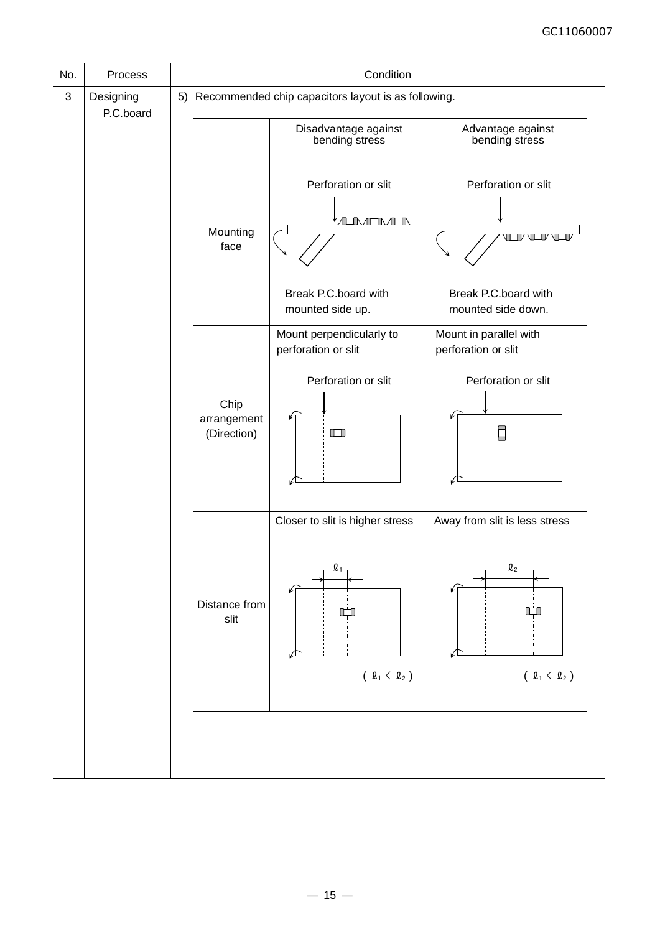| No. | Process                |  |                                    | Condition                                                                    |                                                                      |  |  |  |
|-----|------------------------|--|------------------------------------|------------------------------------------------------------------------------|----------------------------------------------------------------------|--|--|--|
| 3   | Designing<br>P.C.board |  |                                    | 5) Recommended chip capacitors layout is as following.                       |                                                                      |  |  |  |
|     |                        |  |                                    | Disadvantage against<br>bending stress                                       | Advantage against<br>bending stress                                  |  |  |  |
|     | face                   |  | Mounting                           | Perforation or slit<br><u>ATIMENATIN</u>                                     | Perforation or slit<br>$TV$ $V$                                      |  |  |  |
|     |                        |  |                                    | Break P.C.board with<br>mounted side up.                                     | Break P.C.board with<br>mounted side down.                           |  |  |  |
|     |                        |  |                                    | Mount perpendicularly to<br>perforation or slit                              | Mount in parallel with<br>perforation or slit                        |  |  |  |
|     |                        |  | Chip<br>arrangement<br>(Direction) | Perforation or slit<br>$\Box$                                                | Perforation or slit<br>Ξ                                             |  |  |  |
|     |                        |  | Distance from<br>slit              | Closer to slit is higher stress<br>$\mathbf{\mathfrak{Q}}_1$<br>(2, 4, 4, 2) | Away from slit is less stress<br>$\mathbf{\ell}_{2}$<br>(2, 4, 4, 2) |  |  |  |
|     |                        |  |                                    |                                                                              |                                                                      |  |  |  |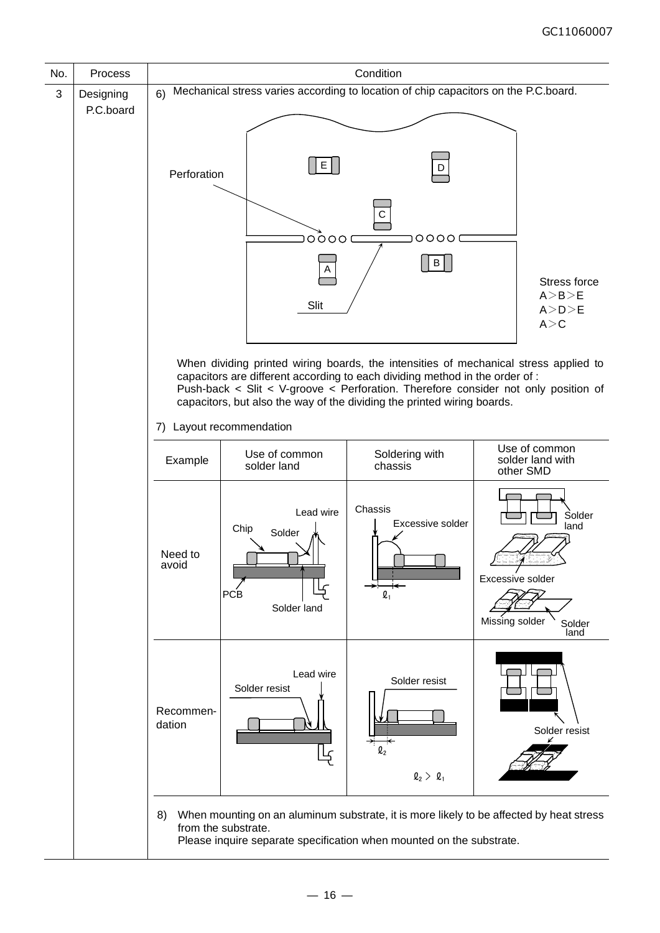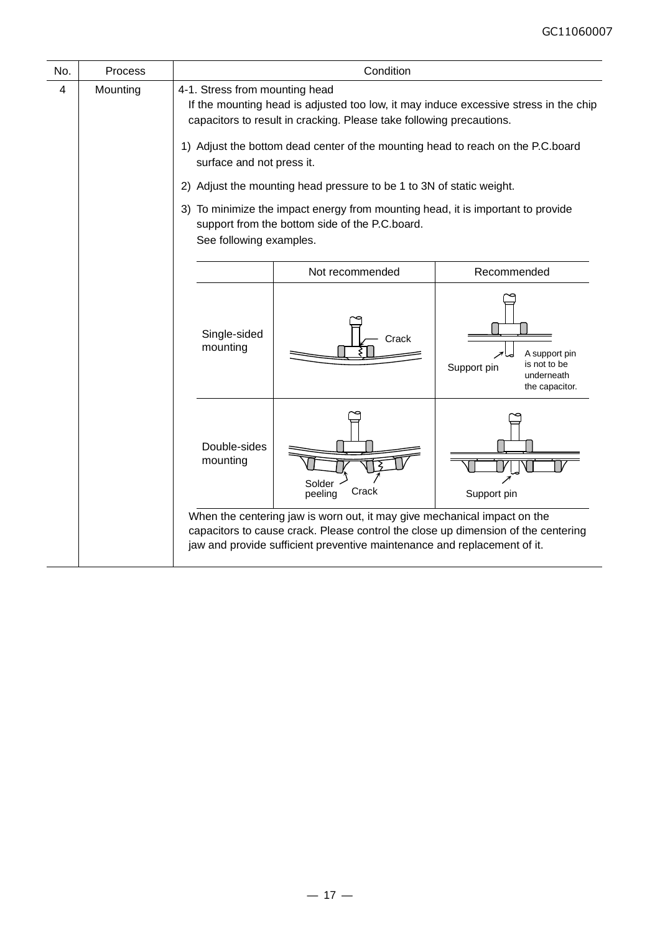| No. | Process  | Condition                                                                                                                                                                                                                                                                                                                                                                                                                                                                                                                                              |                                                                                                                                                                                                                                           |                                                                              |  |  |
|-----|----------|--------------------------------------------------------------------------------------------------------------------------------------------------------------------------------------------------------------------------------------------------------------------------------------------------------------------------------------------------------------------------------------------------------------------------------------------------------------------------------------------------------------------------------------------------------|-------------------------------------------------------------------------------------------------------------------------------------------------------------------------------------------------------------------------------------------|------------------------------------------------------------------------------|--|--|
| 4   | Mounting | 4-1. Stress from mounting head<br>If the mounting head is adjusted too low, it may induce excessive stress in the chip<br>capacitors to result in cracking. Please take following precautions.<br>1) Adjust the bottom dead center of the mounting head to reach on the P.C.board<br>surface and not press it.<br>2) Adjust the mounting head pressure to be 1 to 3N of static weight.<br>3) To minimize the impact energy from mounting head, it is important to provide<br>support from the bottom side of the P.C.board.<br>See following examples. |                                                                                                                                                                                                                                           |                                                                              |  |  |
|     |          | Not recommended<br>Recommended                                                                                                                                                                                                                                                                                                                                                                                                                                                                                                                         |                                                                                                                                                                                                                                           |                                                                              |  |  |
|     |          | Single-sided<br>mounting                                                                                                                                                                                                                                                                                                                                                                                                                                                                                                                               | Crack                                                                                                                                                                                                                                     | A support pin<br>is not to be<br>Support pin<br>underneath<br>the capacitor. |  |  |
|     |          | Double-sides<br>mounting                                                                                                                                                                                                                                                                                                                                                                                                                                                                                                                               | Solder<br>Crack<br>peeling                                                                                                                                                                                                                | Support pin                                                                  |  |  |
|     |          |                                                                                                                                                                                                                                                                                                                                                                                                                                                                                                                                                        | When the centering jaw is worn out, it may give mechanical impact on the<br>capacitors to cause crack. Please control the close up dimension of the centering<br>jaw and provide sufficient preventive maintenance and replacement of it. |                                                                              |  |  |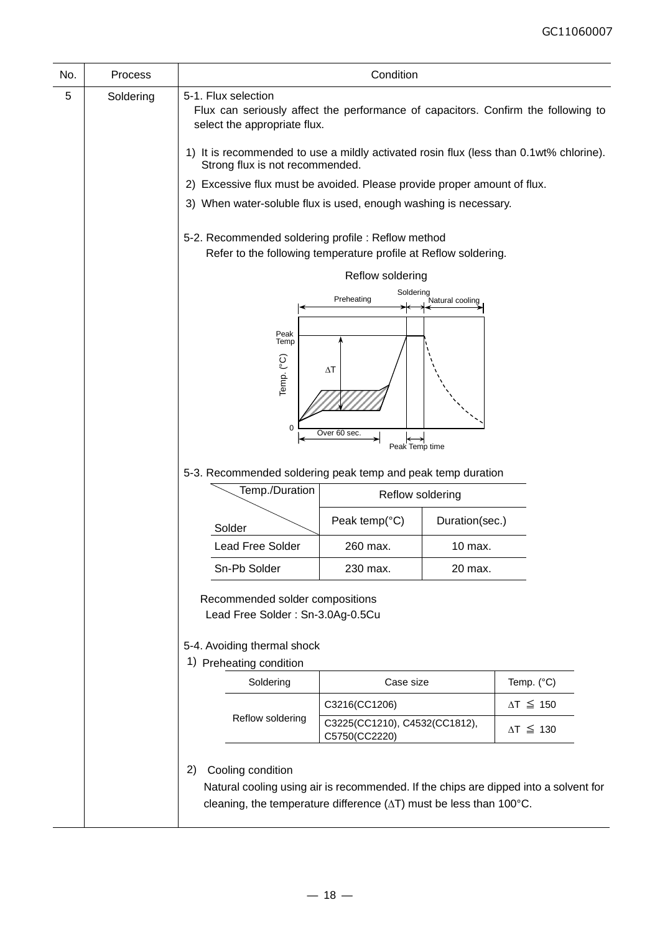| No. | Process   |                                                                                                                                                                                                          | Condition                                                                                                             |                 |                     |  |  |  |
|-----|-----------|----------------------------------------------------------------------------------------------------------------------------------------------------------------------------------------------------------|-----------------------------------------------------------------------------------------------------------------------|-----------------|---------------------|--|--|--|
| 5   | Soldering | 5-1. Flux selection<br>Flux can seriously affect the performance of capacitors. Confirm the following to<br>select the appropriate flux.                                                                 |                                                                                                                       |                 |                     |  |  |  |
|     |           | 1) It is recommended to use a mildly activated rosin flux (less than 0.1wt% chlorine).<br>Strong flux is not recommended.                                                                                |                                                                                                                       |                 |                     |  |  |  |
|     |           | 2) Excessive flux must be avoided. Please provide proper amount of flux.                                                                                                                                 |                                                                                                                       |                 |                     |  |  |  |
|     |           | 3) When water-soluble flux is used, enough washing is necessary.                                                                                                                                         |                                                                                                                       |                 |                     |  |  |  |
|     |           |                                                                                                                                                                                                          | 5-2. Recommended soldering profile : Reflow method<br>Refer to the following temperature profile at Reflow soldering. |                 |                     |  |  |  |
|     |           |                                                                                                                                                                                                          | Reflow soldering                                                                                                      |                 |                     |  |  |  |
|     |           |                                                                                                                                                                                                          | Soldering<br>Preheating                                                                                               | Natural cooling |                     |  |  |  |
|     |           | Peak<br>Temp<br>Temp. (°C)<br>0<br>5-3. Recommended soldering peak temp and peak temp duration<br>Temp./Duration                                                                                         | $\Delta T$<br>Over 60 sec.<br>Peak Temp time<br>Reflow soldering                                                      |                 |                     |  |  |  |
|     |           |                                                                                                                                                                                                          | Peak temp(°C)                                                                                                         | Duration(sec.)  |                     |  |  |  |
|     |           | Solder<br>Lead Free Solder                                                                                                                                                                               | 260 max.                                                                                                              | 10 max.         |                     |  |  |  |
|     |           | Sn-Pb Solder                                                                                                                                                                                             | 230 max.                                                                                                              | 20 max.         |                     |  |  |  |
|     |           | Recommended solder compositions<br>Lead Free Solder: Sn-3.0Ag-0.5Cu<br>5-4. Avoiding thermal shock<br>1) Preheating condition                                                                            |                                                                                                                       |                 |                     |  |  |  |
|     |           | Soldering                                                                                                                                                                                                | Case size                                                                                                             |                 | Temp. (°C)          |  |  |  |
|     |           |                                                                                                                                                                                                          | C3216(CC1206)                                                                                                         |                 | $\Delta T \leq 150$ |  |  |  |
|     |           | Reflow soldering                                                                                                                                                                                         | C3225(CC1210), C4532(CC1812),<br>C5750(CC2220)                                                                        |                 | $\Delta T \leq 130$ |  |  |  |
|     |           | Cooling condition<br>2)<br>Natural cooling using air is recommended. If the chips are dipped into a solvent for<br>cleaning, the temperature difference $(\Delta T)$ must be less than 100 $^{\circ}$ C. |                                                                                                                       |                 |                     |  |  |  |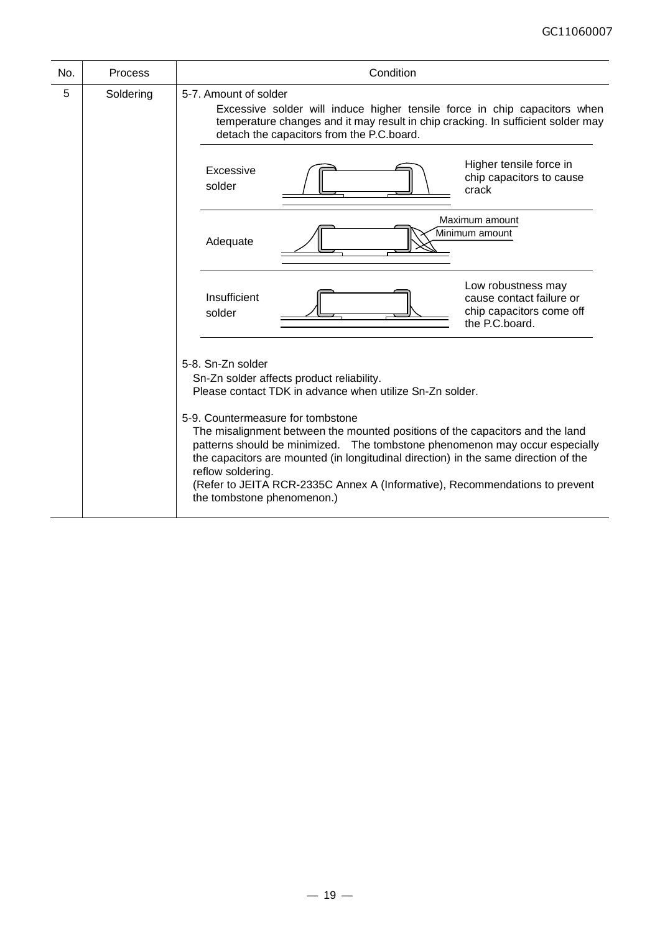| No. | <b>Process</b> | Condition                                                                                                                                                                                                                                                                                                                                                                                                                                                                                                                                                |  |  |  |  |
|-----|----------------|----------------------------------------------------------------------------------------------------------------------------------------------------------------------------------------------------------------------------------------------------------------------------------------------------------------------------------------------------------------------------------------------------------------------------------------------------------------------------------------------------------------------------------------------------------|--|--|--|--|
| 5   | Soldering      | 5-7. Amount of solder<br>Excessive solder will induce higher tensile force in chip capacitors when<br>temperature changes and it may result in chip cracking. In sufficient solder may<br>detach the capacitors from the P.C.board.                                                                                                                                                                                                                                                                                                                      |  |  |  |  |
|     |                | Higher tensile force in<br>Excessive<br>chip capacitors to cause<br>solder<br>crack                                                                                                                                                                                                                                                                                                                                                                                                                                                                      |  |  |  |  |
|     |                | Maximum amount<br>Minimum amount<br>Adequate                                                                                                                                                                                                                                                                                                                                                                                                                                                                                                             |  |  |  |  |
|     |                | Low robustness may<br>Insufficient<br>cause contact failure or<br>chip capacitors come off<br>solder<br>the P.C.board.                                                                                                                                                                                                                                                                                                                                                                                                                                   |  |  |  |  |
|     |                | 5-8. Sn-Zn solder<br>Sn-Zn solder affects product reliability.<br>Please contact TDK in advance when utilize Sn-Zn solder.<br>5-9. Countermeasure for tombstone<br>The misalignment between the mounted positions of the capacitors and the land<br>patterns should be minimized. The tombstone phenomenon may occur especially<br>the capacitors are mounted (in longitudinal direction) in the same direction of the<br>reflow soldering.<br>(Refer to JEITA RCR-2335C Annex A (Informative), Recommendations to prevent<br>the tombstone phenomenon.) |  |  |  |  |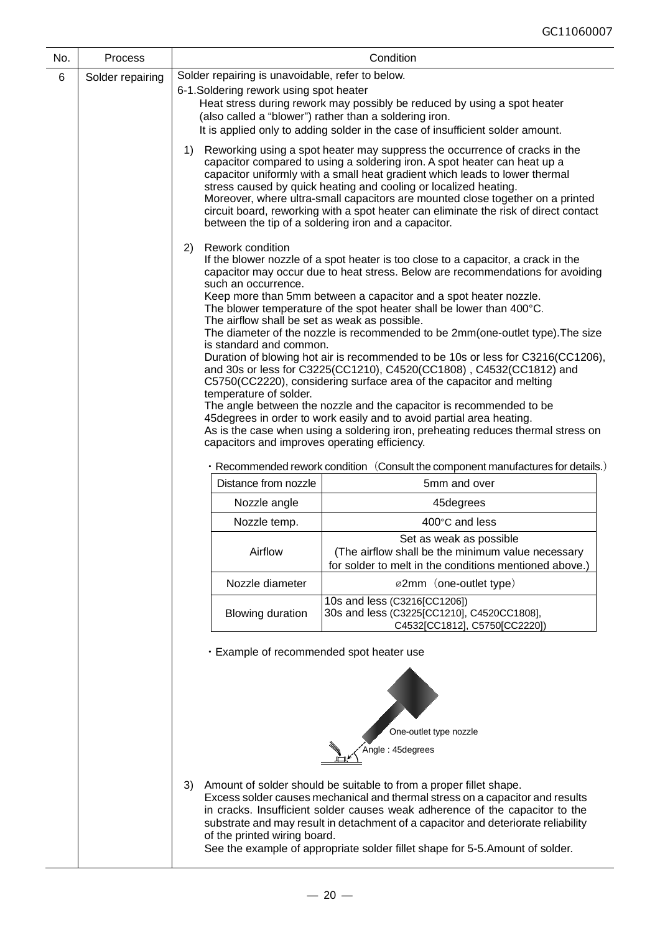| No. | Process          |                                                                                                                                                                                                             | Condition                                                                                                                                                                                                                                                                                                                                                                                                                                                                                                                                                                                                                                                                                                                                                                                                                                                                                                                                                   |  |  |  |  |
|-----|------------------|-------------------------------------------------------------------------------------------------------------------------------------------------------------------------------------------------------------|-------------------------------------------------------------------------------------------------------------------------------------------------------------------------------------------------------------------------------------------------------------------------------------------------------------------------------------------------------------------------------------------------------------------------------------------------------------------------------------------------------------------------------------------------------------------------------------------------------------------------------------------------------------------------------------------------------------------------------------------------------------------------------------------------------------------------------------------------------------------------------------------------------------------------------------------------------------|--|--|--|--|
| 6   | Solder repairing | Solder repairing is unavoidable, refer to below.                                                                                                                                                            |                                                                                                                                                                                                                                                                                                                                                                                                                                                                                                                                                                                                                                                                                                                                                                                                                                                                                                                                                             |  |  |  |  |
|     |                  | 6-1. Soldering rework using spot heater<br>(also called a "blower") rather than a soldering iron.                                                                                                           | Heat stress during rework may possibly be reduced by using a spot heater<br>It is applied only to adding solder in the case of insufficient solder amount.                                                                                                                                                                                                                                                                                                                                                                                                                                                                                                                                                                                                                                                                                                                                                                                                  |  |  |  |  |
|     |                  | 1)                                                                                                                                                                                                          | Reworking using a spot heater may suppress the occurrence of cracks in the<br>capacitor compared to using a soldering iron. A spot heater can heat up a<br>capacitor uniformly with a small heat gradient which leads to lower thermal<br>stress caused by quick heating and cooling or localized heating.<br>Moreover, where ultra-small capacitors are mounted close together on a printed<br>circuit board, reworking with a spot heater can eliminate the risk of direct contact<br>between the tip of a soldering iron and a capacitor.                                                                                                                                                                                                                                                                                                                                                                                                                |  |  |  |  |
|     |                  | <b>Rework condition</b><br>2)<br>such an occurrence.<br>The airflow shall be set as weak as possible.<br>is standard and common.<br>temperature of solder.<br>capacitors and improves operating efficiency. | If the blower nozzle of a spot heater is too close to a capacitor, a crack in the<br>capacitor may occur due to heat stress. Below are recommendations for avoiding<br>Keep more than 5mm between a capacitor and a spot heater nozzle.<br>The blower temperature of the spot heater shall be lower than 400°C.<br>The diameter of the nozzle is recommended to be 2mm(one-outlet type). The size<br>Duration of blowing hot air is recommended to be 10s or less for C3216(CC1206),<br>and 30s or less for C3225(CC1210), C4520(CC1808), C4532(CC1812) and<br>C5750(CC2220), considering surface area of the capacitor and melting<br>The angle between the nozzle and the capacitor is recommended to be<br>45 degrees in order to work easily and to avoid partial area heating.<br>As is the case when using a soldering iron, preheating reduces thermal stress on<br>• Recommended rework condition (Consult the component manufactures for details.) |  |  |  |  |
|     |                  | Distance from nozzle                                                                                                                                                                                        | 5mm and over                                                                                                                                                                                                                                                                                                                                                                                                                                                                                                                                                                                                                                                                                                                                                                                                                                                                                                                                                |  |  |  |  |
|     |                  | Nozzle angle                                                                                                                                                                                                | 45degrees                                                                                                                                                                                                                                                                                                                                                                                                                                                                                                                                                                                                                                                                                                                                                                                                                                                                                                                                                   |  |  |  |  |
|     |                  | Nozzle temp.                                                                                                                                                                                                | 400°C and less                                                                                                                                                                                                                                                                                                                                                                                                                                                                                                                                                                                                                                                                                                                                                                                                                                                                                                                                              |  |  |  |  |
|     |                  | Airflow                                                                                                                                                                                                     | Set as weak as possible<br>(The airflow shall be the minimum value necessary<br>for solder to melt in the conditions mentioned above.)                                                                                                                                                                                                                                                                                                                                                                                                                                                                                                                                                                                                                                                                                                                                                                                                                      |  |  |  |  |
|     |                  | Nozzle diameter                                                                                                                                                                                             | ø2mm (one-outlet type)                                                                                                                                                                                                                                                                                                                                                                                                                                                                                                                                                                                                                                                                                                                                                                                                                                                                                                                                      |  |  |  |  |
|     |                  | <b>Blowing duration</b>                                                                                                                                                                                     | 10s and less (C3216[CC1206])<br>30s and less (C3225[CC1210], C4520CC1808],<br>C4532[CC1812], C5750[CC2220])                                                                                                                                                                                                                                                                                                                                                                                                                                                                                                                                                                                                                                                                                                                                                                                                                                                 |  |  |  |  |
|     |                  | · Example of recommended spot heater use                                                                                                                                                                    |                                                                                                                                                                                                                                                                                                                                                                                                                                                                                                                                                                                                                                                                                                                                                                                                                                                                                                                                                             |  |  |  |  |
|     |                  | One-outlet type nozzle<br>Angle: 45degrees                                                                                                                                                                  |                                                                                                                                                                                                                                                                                                                                                                                                                                                                                                                                                                                                                                                                                                                                                                                                                                                                                                                                                             |  |  |  |  |
|     |                  | 3)<br>of the printed wiring board.                                                                                                                                                                          | Amount of solder should be suitable to from a proper fillet shape.<br>Excess solder causes mechanical and thermal stress on a capacitor and results<br>in cracks. Insufficient solder causes weak adherence of the capacitor to the<br>substrate and may result in detachment of a capacitor and deteriorate reliability<br>See the example of appropriate solder fillet shape for 5-5. Amount of solder.                                                                                                                                                                                                                                                                                                                                                                                                                                                                                                                                                   |  |  |  |  |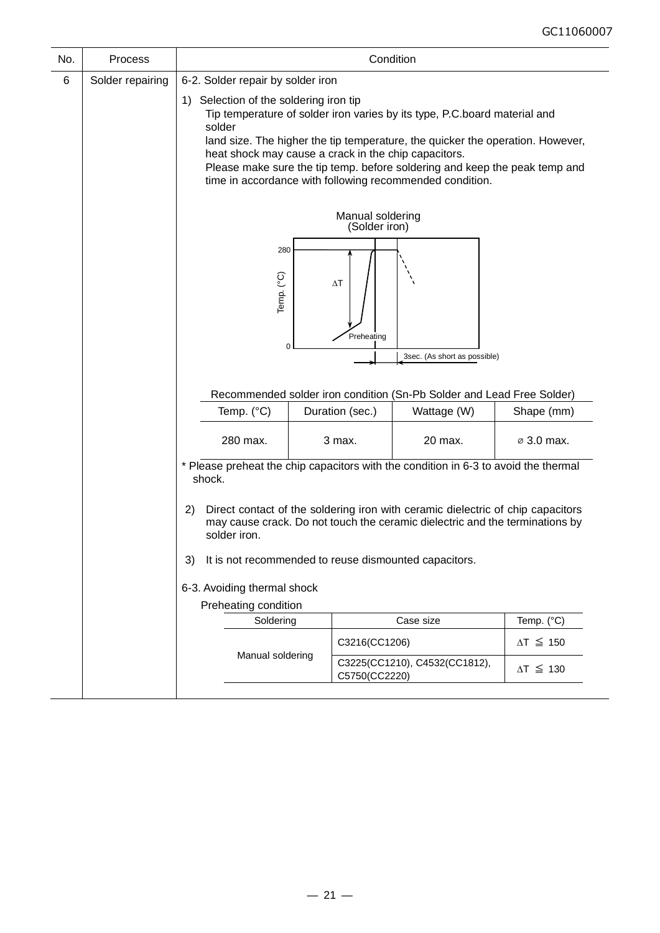| No. | Process          | Condition                                                                                                                                                                                                                                            |                                                                                                                                                                                                                                                                                                                                                                                                         |                 |                                                                                           |                        |  |  |
|-----|------------------|------------------------------------------------------------------------------------------------------------------------------------------------------------------------------------------------------------------------------------------------------|---------------------------------------------------------------------------------------------------------------------------------------------------------------------------------------------------------------------------------------------------------------------------------------------------------------------------------------------------------------------------------------------------------|-----------------|-------------------------------------------------------------------------------------------|------------------------|--|--|
| 6   | Solder repairing | 6-2. Solder repair by solder iron                                                                                                                                                                                                                    |                                                                                                                                                                                                                                                                                                                                                                                                         |                 |                                                                                           |                        |  |  |
|     |                  | solder                                                                                                                                                                                                                                               | 1) Selection of the soldering iron tip<br>Tip temperature of solder iron varies by its type, P.C.board material and<br>land size. The higher the tip temperature, the quicker the operation. However,<br>heat shock may cause a crack in the chip capacitors.<br>Please make sure the tip temp. before soldering and keep the peak temp and<br>time in accordance with following recommended condition. |                 |                                                                                           |                        |  |  |
|     |                  | Manual soldering<br>(Solder iron)                                                                                                                                                                                                                    |                                                                                                                                                                                                                                                                                                                                                                                                         |                 |                                                                                           |                        |  |  |
|     |                  | 280<br>Temp. (°C)<br>$\Delta T$<br>Preheating<br>0<br>3sec. (As short as possible)                                                                                                                                                                   |                                                                                                                                                                                                                                                                                                                                                                                                         |                 |                                                                                           |                        |  |  |
|     |                  | Recommended solder iron condition (Sn-Pb Solder and Lead Free Solder)                                                                                                                                                                                |                                                                                                                                                                                                                                                                                                                                                                                                         |                 |                                                                                           |                        |  |  |
|     |                  | Temp. (°C)                                                                                                                                                                                                                                           |                                                                                                                                                                                                                                                                                                                                                                                                         | Duration (sec.) | Wattage (W)                                                                               | Shape (mm)             |  |  |
|     |                  | 280 max.                                                                                                                                                                                                                                             |                                                                                                                                                                                                                                                                                                                                                                                                         | 3 max.          | 20 max.                                                                                   | $\varnothing$ 3.0 max. |  |  |
|     |                  | * Please preheat the chip capacitors with the condition in 6-3 to avoid the thermal<br>shock.                                                                                                                                                        |                                                                                                                                                                                                                                                                                                                                                                                                         |                 |                                                                                           |                        |  |  |
|     |                  | Direct contact of the soldering iron with ceramic dielectric of chip capacitors<br>2)<br>may cause crack. Do not touch the ceramic dielectric and the terminations by<br>solder iron.<br>It is not recommended to reuse dismounted capacitors.<br>3) |                                                                                                                                                                                                                                                                                                                                                                                                         |                 |                                                                                           |                        |  |  |
|     |                  |                                                                                                                                                                                                                                                      |                                                                                                                                                                                                                                                                                                                                                                                                         |                 |                                                                                           |                        |  |  |
|     |                  | 6-3. Avoiding thermal shock<br>Preheating condition                                                                                                                                                                                                  |                                                                                                                                                                                                                                                                                                                                                                                                         |                 |                                                                                           |                        |  |  |
|     |                  | Soldering                                                                                                                                                                                                                                            |                                                                                                                                                                                                                                                                                                                                                                                                         |                 | Case size                                                                                 | Temp. (°C)             |  |  |
|     |                  |                                                                                                                                                                                                                                                      |                                                                                                                                                                                                                                                                                                                                                                                                         | C3216(CC1206)   |                                                                                           | $\Delta T \leq 150$    |  |  |
|     |                  |                                                                                                                                                                                                                                                      |                                                                                                                                                                                                                                                                                                                                                                                                         |                 | Manual soldering<br>C3225(CC1210), C4532(CC1812),<br>$\Delta T \leq 130$<br>C5750(CC2220) |                        |  |  |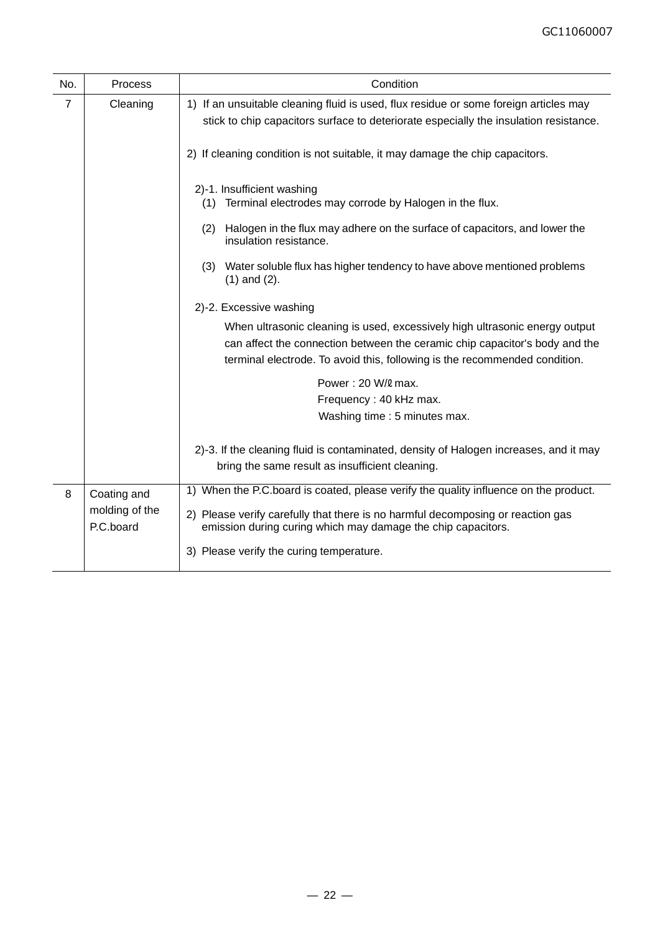| No. | <b>Process</b>              | Condition                                                                                                                                                                                                                                |
|-----|-----------------------------|------------------------------------------------------------------------------------------------------------------------------------------------------------------------------------------------------------------------------------------|
| 7   | Cleaning                    | 1) If an unsuitable cleaning fluid is used, flux residue or some foreign articles may<br>stick to chip capacitors surface to deteriorate especially the insulation resistance.                                                           |
|     |                             | 2) If cleaning condition is not suitable, it may damage the chip capacitors.                                                                                                                                                             |
|     |                             | 2)-1. Insufficient washing<br>Terminal electrodes may corrode by Halogen in the flux.<br>(1)                                                                                                                                             |
|     |                             | Halogen in the flux may adhere on the surface of capacitors, and lower the<br>(2)<br>insulation resistance.                                                                                                                              |
|     |                             | Water soluble flux has higher tendency to have above mentioned problems<br>(3)<br>$(1)$ and $(2)$ .                                                                                                                                      |
|     | 2)-2. Excessive washing     |                                                                                                                                                                                                                                          |
|     |                             | When ultrasonic cleaning is used, excessively high ultrasonic energy output<br>can affect the connection between the ceramic chip capacitor's body and the<br>terminal electrode. To avoid this, following is the recommended condition. |
|     |                             | Power: 20 W/2 max.                                                                                                                                                                                                                       |
|     |                             | Frequency: 40 kHz max.<br>Washing time: 5 minutes max.                                                                                                                                                                                   |
|     |                             | 2)-3. If the cleaning fluid is contaminated, density of Halogen increases, and it may<br>bring the same result as insufficient cleaning.                                                                                                 |
| 8   | Coating and                 | 1) When the P.C.board is coated, please verify the quality influence on the product.                                                                                                                                                     |
|     | molding of the<br>P.C.board | 2) Please verify carefully that there is no harmful decomposing or reaction gas<br>emission during curing which may damage the chip capacitors.                                                                                          |
|     |                             | 3) Please verify the curing temperature.                                                                                                                                                                                                 |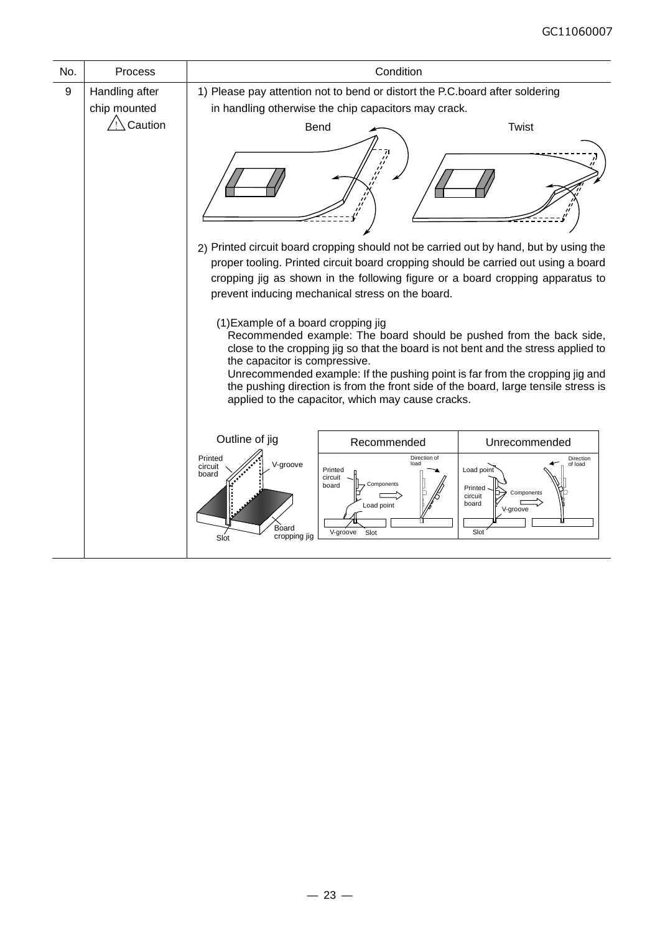| No. | Process                        |                                                                                                                                                                                                                                                                                                                                                                                                                                                             | Condition                                                                                                                            |                                                                                                       |  |  |
|-----|--------------------------------|-------------------------------------------------------------------------------------------------------------------------------------------------------------------------------------------------------------------------------------------------------------------------------------------------------------------------------------------------------------------------------------------------------------------------------------------------------------|--------------------------------------------------------------------------------------------------------------------------------------|-------------------------------------------------------------------------------------------------------|--|--|
| 9   | Handling after<br>chip mounted |                                                                                                                                                                                                                                                                                                                                                                                                                                                             | 1) Please pay attention not to bend or distort the P.C.board after soldering<br>in handling otherwise the chip capacitors may crack. |                                                                                                       |  |  |
|     | Caution                        |                                                                                                                                                                                                                                                                                                                                                                                                                                                             | <b>Bend</b>                                                                                                                          | <b>Twist</b><br>2) Printed circuit board cropping should not be carried out by hand, but by using the |  |  |
|     |                                | proper tooling. Printed circuit board cropping should be carried out using a board<br>cropping jig as shown in the following figure or a board cropping apparatus to<br>prevent inducing mechanical stress on the board.                                                                                                                                                                                                                                    |                                                                                                                                      |                                                                                                       |  |  |
|     |                                | (1) Example of a board cropping jig<br>Recommended example: The board should be pushed from the back side,<br>close to the cropping jig so that the board is not bent and the stress applied to<br>the capacitor is compressive.<br>Unrecommended example: If the pushing point is far from the cropping jig and<br>the pushing direction is from the front side of the board, large tensile stress is<br>applied to the capacitor, which may cause cracks. |                                                                                                                                      |                                                                                                       |  |  |
|     |                                | Outline of jig                                                                                                                                                                                                                                                                                                                                                                                                                                              | Recommended                                                                                                                          | Unrecommended                                                                                         |  |  |
|     |                                | Printed<br>V-groove<br>circuit<br>board<br>Board<br>cropping jig<br>Slot                                                                                                                                                                                                                                                                                                                                                                                    | Direction of<br>Printed<br>circuit<br>Components<br>board<br>Load point<br>V-groove<br>Slot                                          | Direction<br>of load<br>Load point<br>Printed<br>Components<br>circuit<br>board<br>V-groove<br>Slot   |  |  |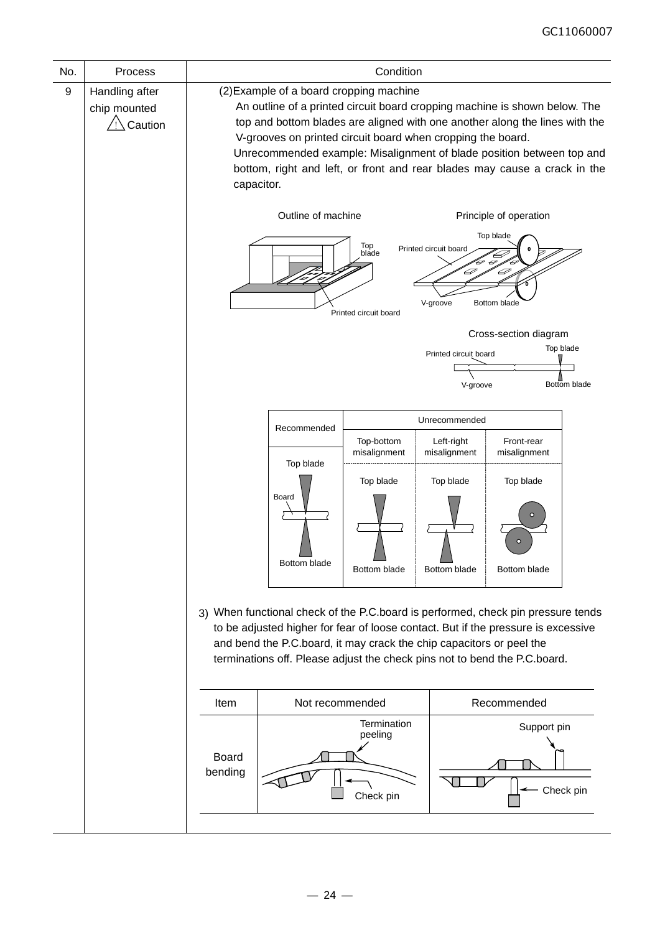| No. | Process                                   | Condition                                                                                                                                                                                                                                                                                                                                                                                                                               |                                                                                                                                                                                                                                                                                                                            |                                     |                            |                                                  |           |
|-----|-------------------------------------------|-----------------------------------------------------------------------------------------------------------------------------------------------------------------------------------------------------------------------------------------------------------------------------------------------------------------------------------------------------------------------------------------------------------------------------------------|----------------------------------------------------------------------------------------------------------------------------------------------------------------------------------------------------------------------------------------------------------------------------------------------------------------------------|-------------------------------------|----------------------------|--------------------------------------------------|-----------|
| 9   | Handling after<br>chip mounted<br>Caution | (2) Example of a board cropping machine<br>An outline of a printed circuit board cropping machine is shown below. The<br>top and bottom blades are aligned with one another along the lines with the<br>V-grooves on printed circuit board when cropping the board.<br>Unrecommended example: Misalignment of blade position between top and<br>bottom, right and left, or front and rear blades may cause a crack in the<br>capacitor. |                                                                                                                                                                                                                                                                                                                            |                                     |                            |                                                  |           |
|     |                                           | Outline of machine<br>Principle of operation<br>Top blade<br>Top<br>Printed circuit board<br>blade<br>2<br>Þ<br>Bottom blade<br>V-groove<br>Printed circuit board                                                                                                                                                                                                                                                                       |                                                                                                                                                                                                                                                                                                                            |                                     |                            |                                                  |           |
|     |                                           | Cross-section diagram<br>Top blade<br>Printed circuit board<br>V-groove<br>Bottom blade                                                                                                                                                                                                                                                                                                                                                 |                                                                                                                                                                                                                                                                                                                            |                                     |                            |                                                  |           |
|     |                                           | Unrecommended<br>Recommended                                                                                                                                                                                                                                                                                                                                                                                                            |                                                                                                                                                                                                                                                                                                                            |                                     |                            |                                                  |           |
|     |                                           |                                                                                                                                                                                                                                                                                                                                                                                                                                         |                                                                                                                                                                                                                                                                                                                            | Top-bottom<br>misalignment          | Left-right<br>misalignment | Front-rear<br>misalignment                       |           |
|     |                                           |                                                                                                                                                                                                                                                                                                                                                                                                                                         | Top blade<br>Board<br>Bottom blade                                                                                                                                                                                                                                                                                         | Top blade<br>Bottom blade           | Top blade<br>Bottom blade  | Top blade<br>$\Omega$<br>$\circ$<br>Bottom blade |           |
|     |                                           |                                                                                                                                                                                                                                                                                                                                                                                                                                         | 3) When functional check of the P.C.board is performed, check pin pressure tends<br>to be adjusted higher for fear of loose contact. But if the pressure is excessive<br>and bend the P.C.board, it may crack the chip capacitors or peel the<br>terminations off. Please adjust the check pins not to bend the P.C.board. |                                     |                            |                                                  |           |
|     |                                           | Item                                                                                                                                                                                                                                                                                                                                                                                                                                    | Recommended<br>Not recommended                                                                                                                                                                                                                                                                                             |                                     |                            |                                                  |           |
|     |                                           | Board<br>bending                                                                                                                                                                                                                                                                                                                                                                                                                        |                                                                                                                                                                                                                                                                                                                            | Termination<br>peeling<br>Check pin |                            | Support pin                                      | Check pin |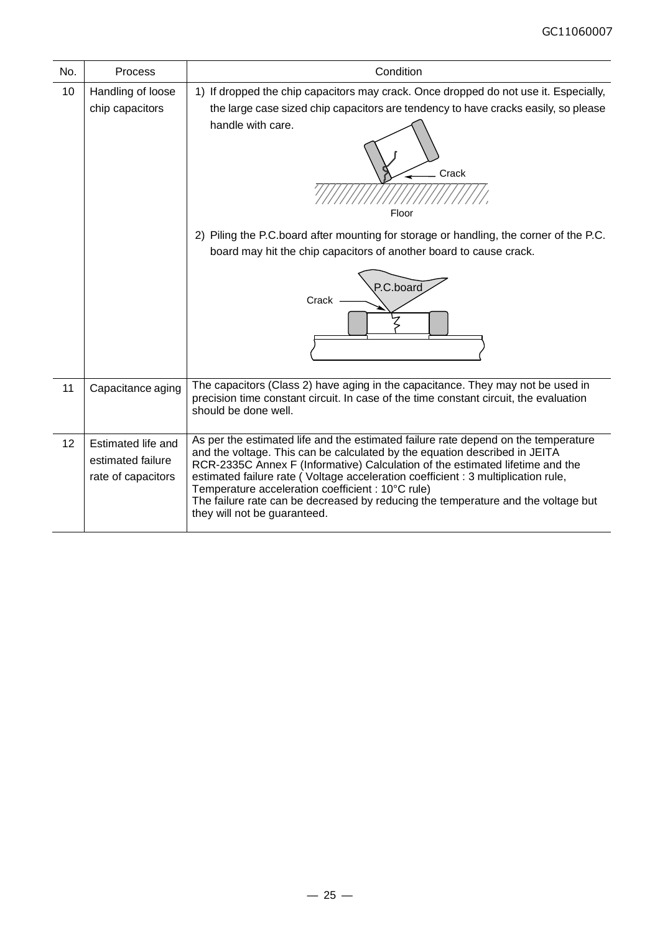| No. | Process                                                       | Condition                                                                                                                                                                                                                                                                                                                                                                                                                                                                                                        |
|-----|---------------------------------------------------------------|------------------------------------------------------------------------------------------------------------------------------------------------------------------------------------------------------------------------------------------------------------------------------------------------------------------------------------------------------------------------------------------------------------------------------------------------------------------------------------------------------------------|
| 10  | Handling of loose<br>chip capacitors                          | 1) If dropped the chip capacitors may crack. Once dropped do not use it. Especially,<br>the large case sized chip capacitors are tendency to have cracks easily, so please<br>handle with care.<br>Crack<br>Floor                                                                                                                                                                                                                                                                                                |
|     |                                                               | 2) Piling the P.C.board after mounting for storage or handling, the corner of the P.C.<br>board may hit the chip capacitors of another board to cause crack.<br>P.C.board<br>Crack                                                                                                                                                                                                                                                                                                                               |
| 11  | Capacitance aging                                             | The capacitors (Class 2) have aging in the capacitance. They may not be used in<br>precision time constant circuit. In case of the time constant circuit, the evaluation<br>should be done well.                                                                                                                                                                                                                                                                                                                 |
| 12  | Estimated life and<br>estimated failure<br>rate of capacitors | As per the estimated life and the estimated failure rate depend on the temperature<br>and the voltage. This can be calculated by the equation described in JEITA<br>RCR-2335C Annex F (Informative) Calculation of the estimated lifetime and the<br>estimated failure rate (Voltage acceleration coefficient : 3 multiplication rule,<br>Temperature acceleration coefficient : 10°C rule)<br>The failure rate can be decreased by reducing the temperature and the voltage but<br>they will not be guaranteed. |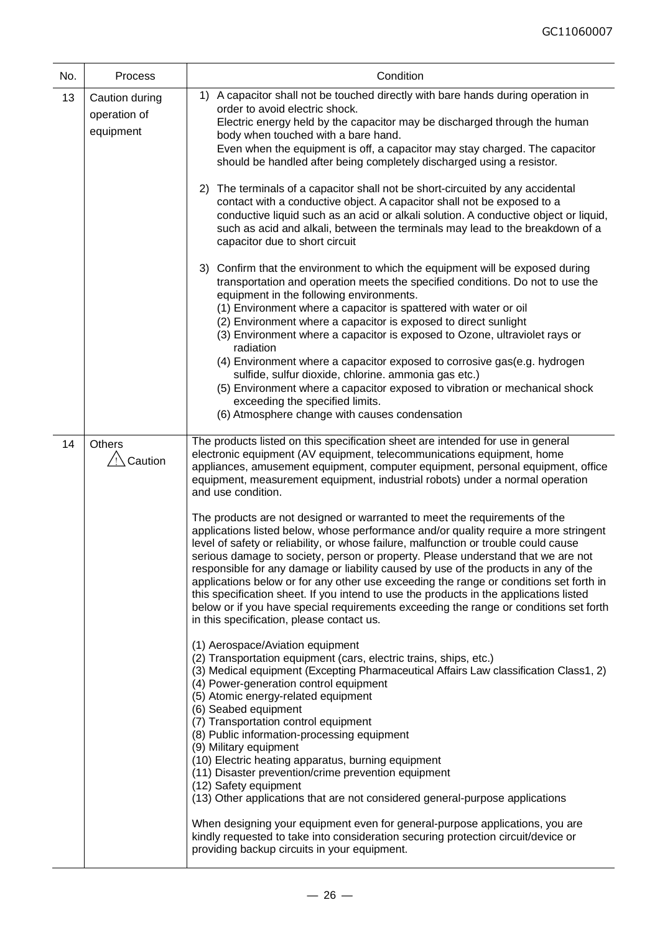| No. | Process                                     | Condition                                                                                                                                                                                                                                                                                                                                                                                                                                                                                                                                                                                                                                                                                                                                                                                                                                                                                                                                                                                                                                                                                                                                                                                                                                                                                                                                                                                                                                                                                                                                                                                                                                                                                                                                                                                                                                                                                                                                                                                     |
|-----|---------------------------------------------|-----------------------------------------------------------------------------------------------------------------------------------------------------------------------------------------------------------------------------------------------------------------------------------------------------------------------------------------------------------------------------------------------------------------------------------------------------------------------------------------------------------------------------------------------------------------------------------------------------------------------------------------------------------------------------------------------------------------------------------------------------------------------------------------------------------------------------------------------------------------------------------------------------------------------------------------------------------------------------------------------------------------------------------------------------------------------------------------------------------------------------------------------------------------------------------------------------------------------------------------------------------------------------------------------------------------------------------------------------------------------------------------------------------------------------------------------------------------------------------------------------------------------------------------------------------------------------------------------------------------------------------------------------------------------------------------------------------------------------------------------------------------------------------------------------------------------------------------------------------------------------------------------------------------------------------------------------------------------------------------------|
| 13  | Caution during<br>operation of<br>equipment | 1) A capacitor shall not be touched directly with bare hands during operation in<br>order to avoid electric shock.<br>Electric energy held by the capacitor may be discharged through the human<br>body when touched with a bare hand.<br>Even when the equipment is off, a capacitor may stay charged. The capacitor<br>should be handled after being completely discharged using a resistor.<br>The terminals of a capacitor shall not be short-circuited by any accidental<br>2)<br>contact with a conductive object. A capacitor shall not be exposed to a<br>conductive liquid such as an acid or alkali solution. A conductive object or liquid,<br>such as acid and alkali, between the terminals may lead to the breakdown of a<br>capacitor due to short circuit<br>3) Confirm that the environment to which the equipment will be exposed during<br>transportation and operation meets the specified conditions. Do not to use the<br>equipment in the following environments.<br>(1) Environment where a capacitor is spattered with water or oil<br>(2) Environment where a capacitor is exposed to direct sunlight<br>(3) Environment where a capacitor is exposed to Ozone, ultraviolet rays or<br>radiation<br>(4) Environment where a capacitor exposed to corrosive gas(e.g. hydrogen<br>sulfide, sulfur dioxide, chlorine. ammonia gas etc.)<br>(5) Environment where a capacitor exposed to vibration or mechanical shock<br>exceeding the specified limits.<br>(6) Atmosphere change with causes condensation                                                                                                                                                                                                                                                                                                                                                                                                                                                             |
| 14  | <b>Others</b><br>/!∖ Caution                | The products listed on this specification sheet are intended for use in general<br>electronic equipment (AV equipment, telecommunications equipment, home<br>appliances, amusement equipment, computer equipment, personal equipment, office<br>equipment, measurement equipment, industrial robots) under a normal operation<br>and use condition.<br>The products are not designed or warranted to meet the requirements of the<br>applications listed below, whose performance and/or quality require a more stringent<br>level of safety or reliability, or whose failure, malfunction or trouble could cause<br>serious damage to society, person or property. Please understand that we are not<br>responsible for any damage or liability caused by use of the products in any of the<br>applications below or for any other use exceeding the range or conditions set forth in<br>this specification sheet. If you intend to use the products in the applications listed<br>below or if you have special requirements exceeding the range or conditions set forth<br>in this specification, please contact us.<br>(1) Aerospace/Aviation equipment<br>(2) Transportation equipment (cars, electric trains, ships, etc.)<br>(3) Medical equipment (Excepting Pharmaceutical Affairs Law classification Class1, 2)<br>(4) Power-generation control equipment<br>(5) Atomic energy-related equipment<br>(6) Seabed equipment<br>(7) Transportation control equipment<br>(8) Public information-processing equipment<br>(9) Military equipment<br>(10) Electric heating apparatus, burning equipment<br>(11) Disaster prevention/crime prevention equipment<br>(12) Safety equipment<br>(13) Other applications that are not considered general-purpose applications<br>When designing your equipment even for general-purpose applications, you are<br>kindly requested to take into consideration securing protection circuit/device or<br>providing backup circuits in your equipment. |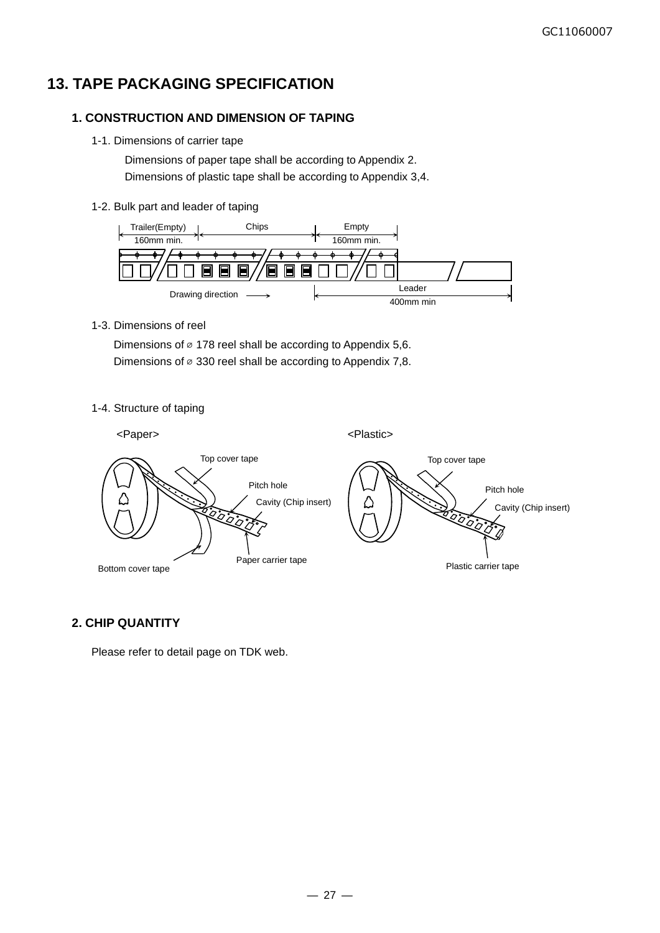## **13. TAPE PACKAGING SPECIFICATION**

#### **1. CONSTRUCTION AND DIMENSION OF TAPING**

1-1. Dimensions of carrier tape

Dimensions of paper tape shall be according to Appendix 2. Dimensions of plastic tape shall be according to Appendix 3,4.

#### 1-2. Bulk part and leader of taping



1-3. Dimensions of reel

Dimensions of  $\infty$  178 reel shall be according to Appendix 5,6. Dimensions of  $\infty$  330 reel shall be according to Appendix 7,8.

1-4. Structure of taping



#### **2. CHIP QUANTITY**

Please refer to detail page on TDK web.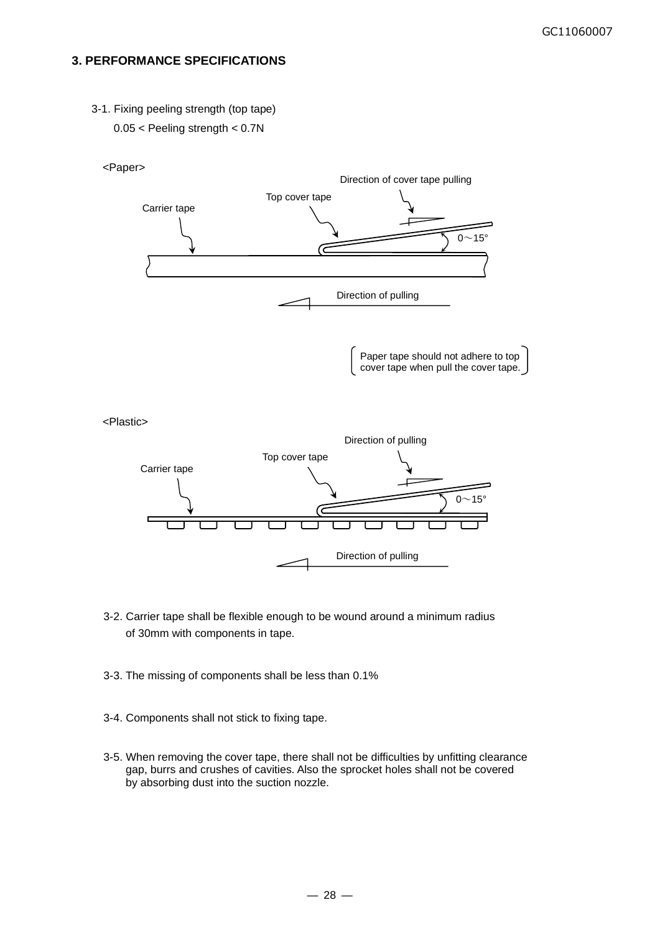#### **3. PERFORMANCE SPECIFICATIONS**

3-1. Fixing peeling strength (top tape) 0.05 < Peeling strength < 0.7N



<Plastic>



- 3-2. Carrier tape shall be flexible enough to be wound around a minimum radius of 30mm with components in tape.
- 3-3. The missing of components shall be less than 0.1%
- 3-4. Components shall not stick to fixing tape.
- 3-5. When removing the cover tape, there shall not be difficulties by unfitting clearance gap, burrs and crushes of cavities. Also the sprocket holes shall not be covered by absorbing dust into the suction nozzle.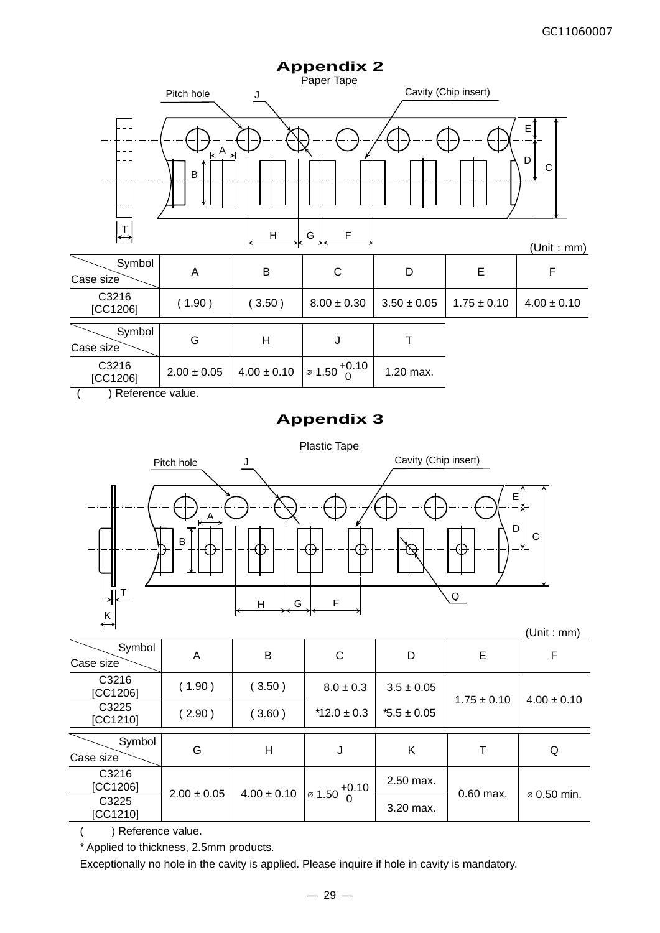

( ) Reference value.

## **Appendix 3**



| Symbol<br>Case size | A               | B               | C                         | D               | E               | F               |
|---------------------|-----------------|-----------------|---------------------------|-----------------|-----------------|-----------------|
| C3216<br>[CC1206]   | (1.90)          | 3.50)           | $8.0 \pm 0.3$             | $3.5 \pm 0.05$  | $1.75 \pm 0.10$ | $4.00 \pm 0.10$ |
| C3225<br>[CC1210]   | (2.90)          | 3.60)           | $*12.0 \pm 0.3$           | $*5.5 \pm 0.05$ |                 |                 |
| Symbol<br>Case size | G               | H               | J                         | Κ               |                 | Q               |
| C3216<br>[CC1206]   | $2.00 \pm 0.05$ | $4.00 \pm 0.10$ | $1\sigma$ 1.50 $^{+0.10}$ | $2.50$ max.     | $0.60$ max.     |                 |
| C3225<br>[CC1210]   |                 |                 |                           | 3.20 max.       |                 | ⊘ 0.50 min.     |

( ) Reference value.

\* Applied to thickness, 2.5mm products.

Exceptionally no hole in the cavity is applied. Please inquire if hole in cavity is mandatory.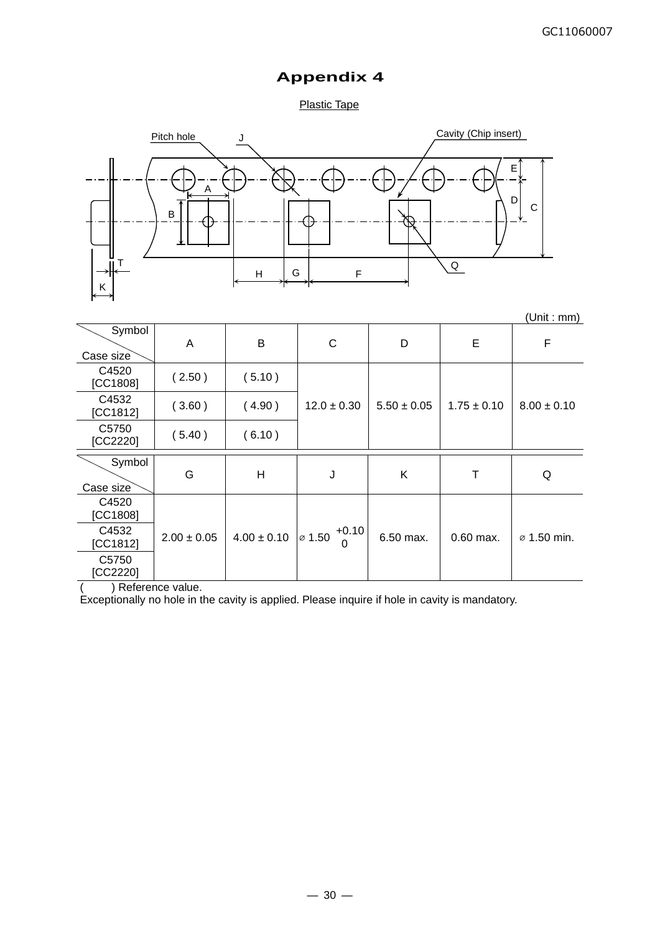## **Appendix 4**

#### Plastic Tape



|                     |                 |                 |                                    |                 |                 | (Unit : mm)             |
|---------------------|-----------------|-----------------|------------------------------------|-----------------|-----------------|-------------------------|
| Symbol<br>Case size | A               | B               | C                                  | D               | E               | F                       |
| C4520<br>[CC1808]   | (2.50)          | (5.10)          |                                    |                 |                 |                         |
| C4532<br>[CC1812]   | (3.60)          | (4.90)          | $12.0 \pm 0.30$                    | $5.50 \pm 0.05$ | $1.75 \pm 0.10$ | $8.00 \pm 0.10$         |
| C5750<br>[CC2220]   | (5.40)          | (6.10)          |                                    |                 |                 |                         |
| Symbol<br>Case size | G               | H               | J                                  | Κ               | Т               | Q                       |
| C4520<br>[CC1808]   |                 |                 |                                    |                 |                 |                         |
| C4532<br>[CC1812]   | $2.00 \pm 0.05$ | $4.00 \pm 0.10$ | $+0.10$<br>$\varnothing$ 1.50<br>0 | 6.50 max.       | $0.60$ max.     | $\varnothing$ 1.50 min. |
| C5750<br>[CC2220]   |                 |                 |                                    |                 |                 |                         |

( ) Reference value.

Exceptionally no hole in the cavity is applied. Please inquire if hole in cavity is mandatory.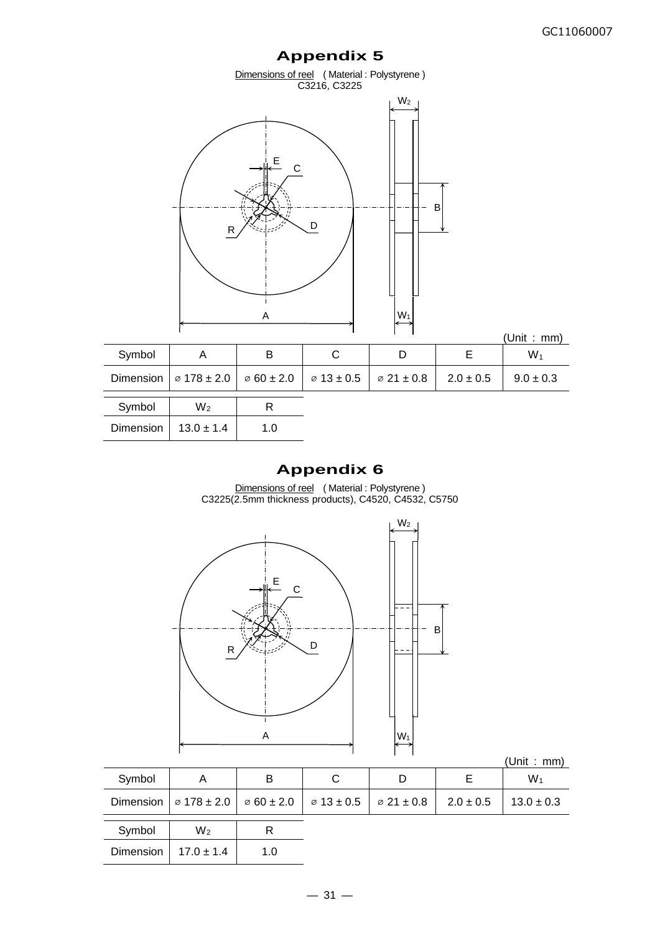# **Appendix 5** Dimensions of reel (Material : Polystyrene) C3216, C3225 (Unit : mm) Symbol | A | B | C | D | E | W<sub>1</sub> Dimension  $\sqrt{6178 \pm 2.0}$   $\sqrt{60 \pm 2.0}$   $\sqrt{613 \pm 0.5}$   $\sqrt{621 \pm 0.8}$  2.0  $\pm 0.5$   $\sqrt{9.0 \pm 0.3}$ Symbol W<sub>2</sub> R Dimension |  $13.0 \pm 1.4$  | 1.0  $W<sub>2</sub>$ B A  $\vert W_1 \vert$ E C  $R \nearrow^{\&_{\text{S}}}\xrightarrow{1-\mathcal{L}^{\mathcal{L}^{\prime}}}\searrow D$

## **Appendix 6**

Dimensions of reel (Material : Polystyrene) C3225(2.5mm thickness products), C4520, C4532, C5750



|           |                             |                            |                        |                            |               | (Unit : mm)    |
|-----------|-----------------------------|----------------------------|------------------------|----------------------------|---------------|----------------|
| Symbol    | A                           | в                          | C                      |                            | Е             | $W_1$          |
| Dimension | $\varnothing$ 178 $\pm$ 2.0 | $\varnothing$ 60 $\pm$ 2.0 | $\varnothing$ 13 ± 0.5 | $\varnothing$ 21 $\pm$ 0.8 | $2.0 \pm 0.5$ | $13.0 \pm 0.3$ |
| Symbol    | $W_2$                       | R                          |                        |                            |               |                |
| Dimension | $17.0 \pm 1.4$              | 1.0                        |                        |                            |               |                |